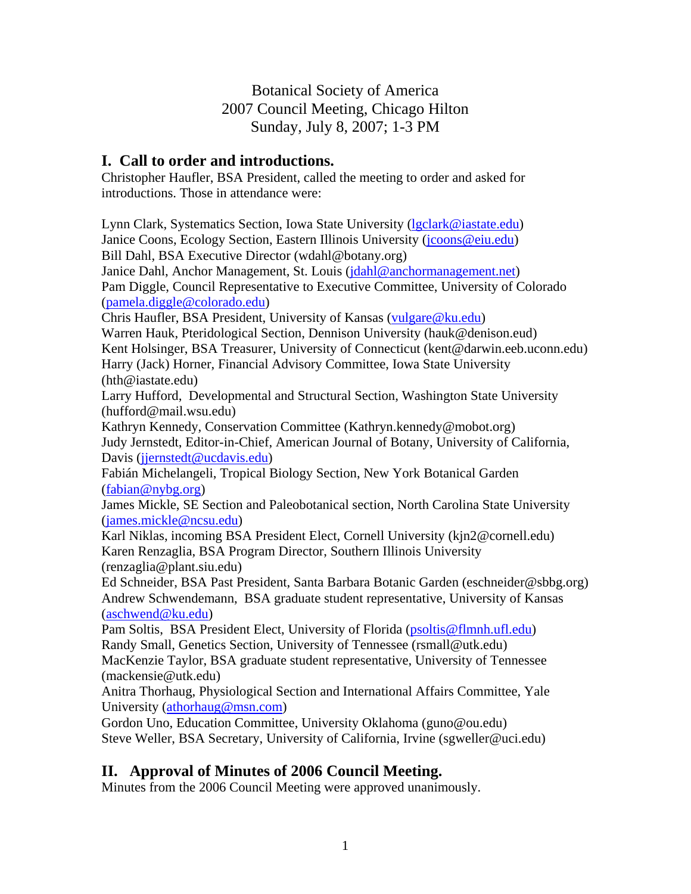## Botanical Society of America 2007 Council Meeting, Chicago Hilton Sunday, July 8, 2007; 1-3 PM

## **I. Call to order and introductions.**

Christopher Haufler, BSA President, called the meeting to order and asked for introductions. Those in attendance were:

Lynn Clark, Systematics Section, Iowa State University ([lgclark@iastate.edu](mailto:lgclark@iastate.edu)) Janice Coons, Ecology Section, Eastern Illinois University [\(jcoons@eiu.edu\)](mailto:jcoons@eiu.edu) Bill Dahl, BSA Executive Director (wdahl@botany.org) Janice Dahl, Anchor Management, St. Louis [\(jdahl@anchormanagement.net\)](mailto:jdahl@anchormanagement.net) Pam Diggle, Council Representative to Executive Committee, University of Colorado ([pamela.diggle@colorado.edu](mailto:pamela.diggle@colorado.edu)) Chris Haufler, BSA President, University of Kansas [\(vulgare@ku.edu](mailto:vulgare@ku.edu)) Warren Hauk, Pteridological Section, Dennison University (hauk@denison.eud) Kent Holsinger, BSA Treasurer, University of Connecticut (kent@darwin.eeb.uconn.edu) Harry (Jack) Horner, Financial Advisory Committee, Iowa State University (hth@iastate.edu) Larry Hufford, Developmental and Structural Section, Washington State University (hufford@mail.wsu.edu) Kathryn Kennedy, Conservation Committee (Kathryn.kennedy@mobot.org) Judy Jernstedt, Editor-in-Chief, American Journal of Botany, University of California, Davis (jernstedt@ucdavis.edu) Fabián Michelangeli, Tropical Biology Section, New York Botanical Garden ([fabian@nybg.org](mailto:fabian@nybg.org)) James Mickle, SE Section and Paleobotanical section, North Carolina State University ([james.mickle@ncsu.edu](mailto:james.mickle@ncsu.edu)) Karl Niklas, incoming BSA President Elect, Cornell University (kjn2@cornell.edu) Karen Renzaglia, BSA Program Director, Southern Illinois University (renzaglia@plant.siu.edu) Ed Schneider, BSA Past President, Santa Barbara Botanic Garden (eschneider@sbbg.org) Andrew Schwendemann, BSA graduate student representative, University of Kansas ([aschwend@ku.edu\)](mailto:aschwend@ku.edu) Pam Soltis, BSA President Elect, University of Florida ([psoltis@flmnh.ufl.edu](mailto:psoltis@flmnh.ufl.edu)) Randy Small, Genetics Section, University of Tennessee (rsmall@utk.edu) MacKenzie Taylor, BSA graduate student representative, University of Tennessee (mackensie@utk.edu) Anitra Thorhaug, Physiological Section and International Affairs Committee, Yale University ([athorhaug@msn.com](mailto:athorhaug@msn.com)) Gordon Uno, Education Committee, University Oklahoma (guno@ou.edu) Steve Weller, BSA Secretary, University of California, Irvine (sgweller@uci.edu)

## **II. Approval of Minutes of 2006 Council Meeting.**

Minutes from the 2006 Council Meeting were approved unanimously.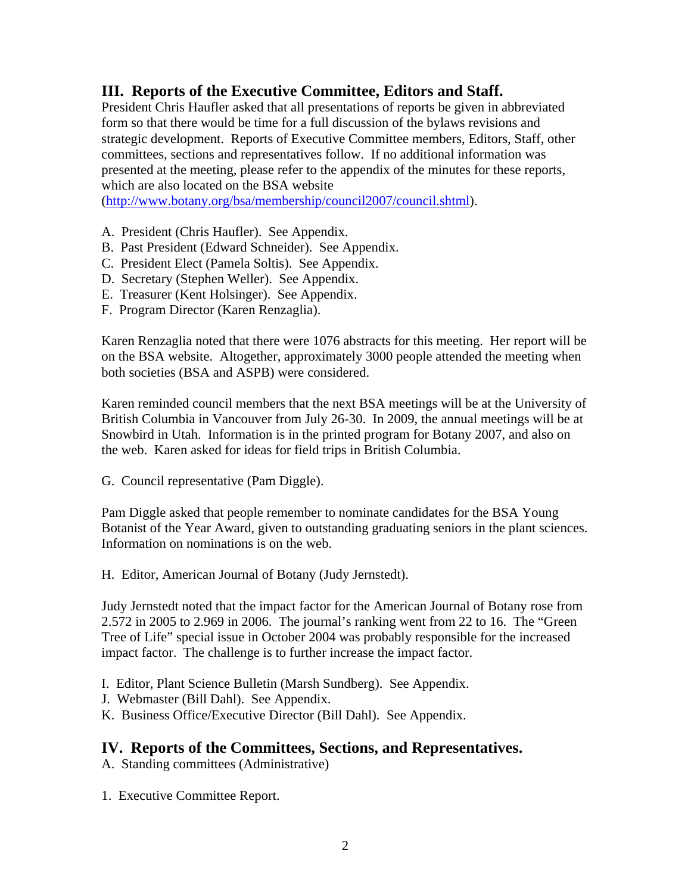## **III. Reports of the Executive Committee, Editors and Staff.**

President Chris Haufler asked that all presentations of reports be given in abbreviated form so that there would be time for a full discussion of the bylaws revisions and strategic development. Reports of Executive Committee members, Editors, Staff, other committees, sections and representatives follow. If no additional information was presented at the meeting, please refer to the appendix of the minutes for these reports, which are also located on the BSA website

(<http://www.botany.org/bsa/membership/council2007/council.shtml>).

- A. President (Chris Haufler). See Appendix.
- B. Past President (Edward Schneider). See Appendix.
- C. President Elect (Pamela Soltis). See Appendix.
- D. Secretary (Stephen Weller). See Appendix.
- E. Treasurer (Kent Holsinger). See Appendix.
- F. Program Director (Karen Renzaglia).

Karen Renzaglia noted that there were 1076 abstracts for this meeting. Her report will be on the BSA website. Altogether, approximately 3000 people attended the meeting when both societies (BSA and ASPB) were considered.

Karen reminded council members that the next BSA meetings will be at the University of British Columbia in Vancouver from July 26-30. In 2009, the annual meetings will be at Snowbird in Utah. Information is in the printed program for Botany 2007, and also on the web. Karen asked for ideas for field trips in British Columbia.

G. Council representative (Pam Diggle).

Pam Diggle asked that people remember to nominate candidates for the BSA Young Botanist of the Year Award, given to outstanding graduating seniors in the plant sciences. Information on nominations is on the web.

H. Editor, American Journal of Botany (Judy Jernstedt).

Judy Jernstedt noted that the impact factor for the American Journal of Botany rose from 2.572 in 2005 to 2.969 in 2006. The journal's ranking went from 22 to 16. The "Green Tree of Life" special issue in October 2004 was probably responsible for the increased impact factor. The challenge is to further increase the impact factor.

- I. Editor, Plant Science Bulletin (Marsh Sundberg). See Appendix.
- J. Webmaster (Bill Dahl). See Appendix.
- K. Business Office/Executive Director (Bill Dahl). See Appendix.

## **IV. Reports of the Committees, Sections, and Representatives.**

A. Standing committees (Administrative)

1. Executive Committee Report.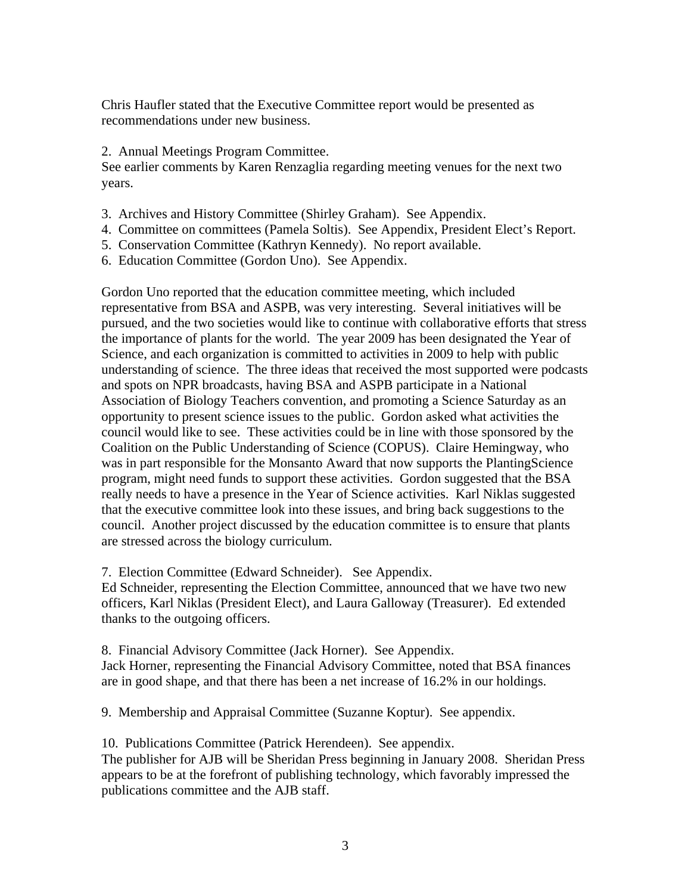Chris Haufler stated that the Executive Committee report would be presented as recommendations under new business.

### 2. Annual Meetings Program Committee.

See earlier comments by Karen Renzaglia regarding meeting venues for the next two years.

- 3. Archives and History Committee (Shirley Graham). See Appendix.
- 4. Committee on committees (Pamela Soltis). See Appendix, President Elect's Report.
- 5. Conservation Committee (Kathryn Kennedy). No report available.
- 6. Education Committee (Gordon Uno). See Appendix.

Gordon Uno reported that the education committee meeting, which included representative from BSA and ASPB, was very interesting. Several initiatives will be pursued, and the two societies would like to continue with collaborative efforts that stress the importance of plants for the world. The year 2009 has been designated the Year of Science, and each organization is committed to activities in 2009 to help with public understanding of science. The three ideas that received the most supported were podcasts and spots on NPR broadcasts, having BSA and ASPB participate in a National Association of Biology Teachers convention, and promoting a Science Saturday as an opportunity to present science issues to the public. Gordon asked what activities the council would like to see. These activities could be in line with those sponsored by the Coalition on the Public Understanding of Science (COPUS). Claire Hemingway, who was in part responsible for the Monsanto Award that now supports the PlantingScience program, might need funds to support these activities. Gordon suggested that the BSA really needs to have a presence in the Year of Science activities. Karl Niklas suggested that the executive committee look into these issues, and bring back suggestions to the council. Another project discussed by the education committee is to ensure that plants are stressed across the biology curriculum.

7. Election Committee (Edward Schneider). See Appendix.

Ed Schneider, representing the Election Committee, announced that we have two new officers, Karl Niklas (President Elect), and Laura Galloway (Treasurer). Ed extended thanks to the outgoing officers.

8. Financial Advisory Committee (Jack Horner). See Appendix. Jack Horner, representing the Financial Advisory Committee, noted that BSA finances are in good shape, and that there has been a net increase of 16.2% in our holdings.

9. Membership and Appraisal Committee (Suzanne Koptur). See appendix.

10. Publications Committee (Patrick Herendeen). See appendix.

The publisher for AJB will be Sheridan Press beginning in January 2008. Sheridan Press appears to be at the forefront of publishing technology, which favorably impressed the publications committee and the AJB staff.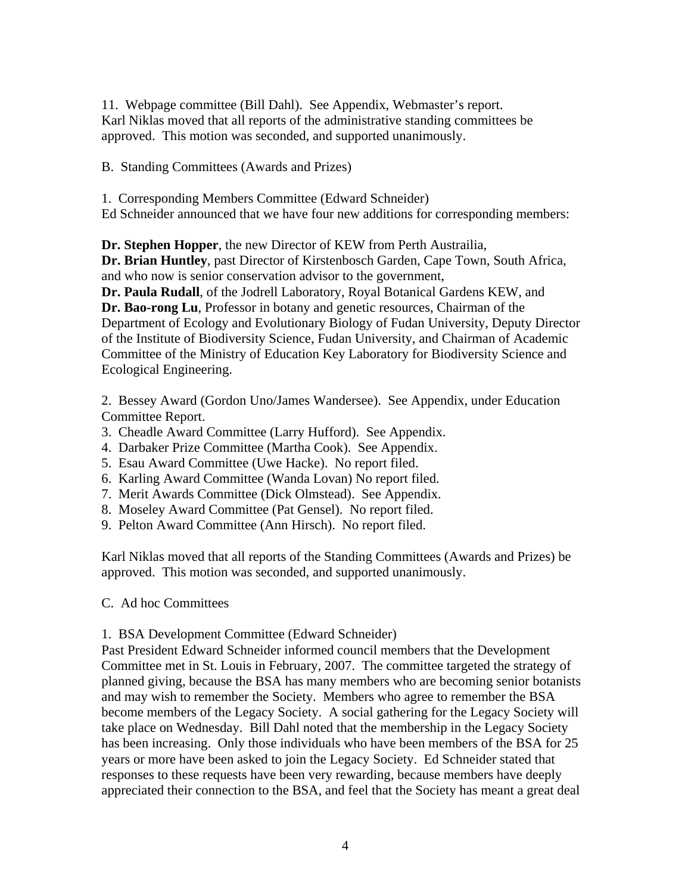11. Webpage committee (Bill Dahl). See Appendix, Webmaster's report. Karl Niklas moved that all reports of the administrative standing committees be approved. This motion was seconded, and supported unanimously.

B. Standing Committees (Awards and Prizes)

1. Corresponding Members Committee (Edward Schneider) Ed Schneider announced that we have four new additions for corresponding members:

**Dr. Stephen Hopper**, the new Director of KEW from Perth Austrailia,

**Dr. Brian Huntley**, past Director of Kirstenbosch Garden, Cape Town, South Africa, and who now is senior conservation advisor to the government,

**Dr. Paula Rudall**, of the Jodrell Laboratory, Royal Botanical Gardens KEW, and **Dr. Bao-rong Lu**, Professor in botany and genetic resources, Chairman of the Department of Ecology and Evolutionary Biology of Fudan University, Deputy Director of the Institute of Biodiversity Science, Fudan University, and Chairman of Academic Committee of the Ministry of Education Key Laboratory for Biodiversity Science and Ecological Engineering.

2. Bessey Award (Gordon Uno/James Wandersee). See Appendix, under Education Committee Report.

- 3. Cheadle Award Committee (Larry Hufford). See Appendix.
- 4. Darbaker Prize Committee (Martha Cook). See Appendix.
- 5. Esau Award Committee (Uwe Hacke). No report filed.
- 6. Karling Award Committee (Wanda Lovan) No report filed.
- 7. Merit Awards Committee (Dick Olmstead). See Appendix.
- 8. Moseley Award Committee (Pat Gensel). No report filed.
- 9. Pelton Award Committee (Ann Hirsch). No report filed.

Karl Niklas moved that all reports of the Standing Committees (Awards and Prizes) be approved. This motion was seconded, and supported unanimously.

### C. Ad hoc Committees

### 1. BSA Development Committee (Edward Schneider)

Past President Edward Schneider informed council members that the Development Committee met in St. Louis in February, 2007. The committee targeted the strategy of planned giving, because the BSA has many members who are becoming senior botanists and may wish to remember the Society. Members who agree to remember the BSA become members of the Legacy Society. A social gathering for the Legacy Society will take place on Wednesday. Bill Dahl noted that the membership in the Legacy Society has been increasing. Only those individuals who have been members of the BSA for 25 years or more have been asked to join the Legacy Society. Ed Schneider stated that responses to these requests have been very rewarding, because members have deeply appreciated their connection to the BSA, and feel that the Society has meant a great deal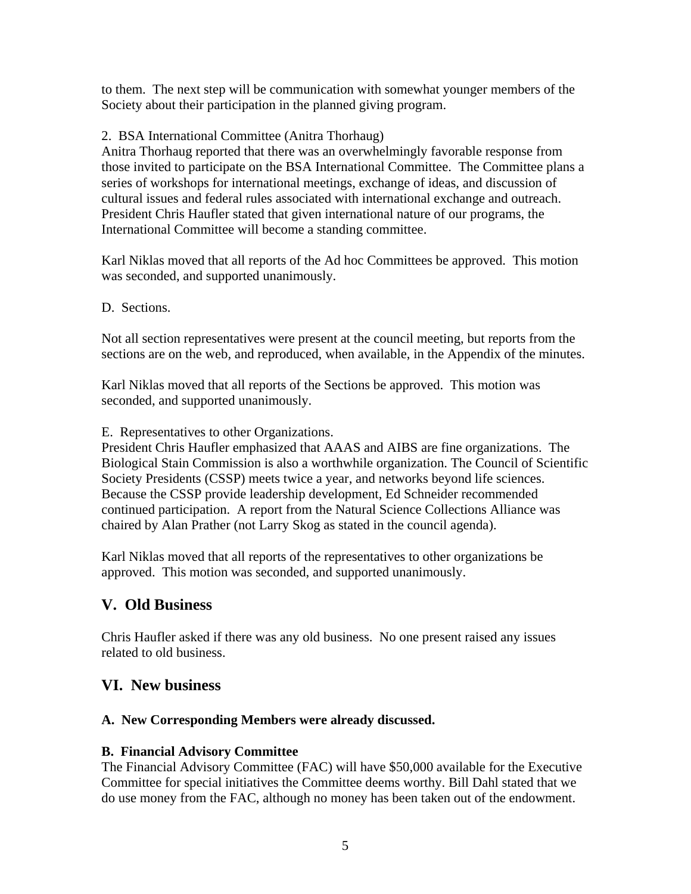to them. The next step will be communication with somewhat younger members of the Society about their participation in the planned giving program.

### 2. BSA International Committee (Anitra Thorhaug)

Anitra Thorhaug reported that there was an overwhelmingly favorable response from those invited to participate on the BSA International Committee. The Committee plans a series of workshops for international meetings, exchange of ideas, and discussion of cultural issues and federal rules associated with international exchange and outreach. President Chris Haufler stated that given international nature of our programs, the International Committee will become a standing committee.

Karl Niklas moved that all reports of the Ad hoc Committees be approved. This motion was seconded, and supported unanimously.

D. Sections.

Not all section representatives were present at the council meeting, but reports from the sections are on the web, and reproduced, when available, in the Appendix of the minutes.

Karl Niklas moved that all reports of the Sections be approved. This motion was seconded, and supported unanimously.

E. Representatives to other Organizations.

President Chris Haufler emphasized that AAAS and AIBS are fine organizations. The Biological Stain Commission is also a worthwhile organization. The Council of Scientific Society Presidents (CSSP) meets twice a year, and networks beyond life sciences. Because the CSSP provide leadership development, Ed Schneider recommended continued participation. A report from the Natural Science Collections Alliance was chaired by Alan Prather (not Larry Skog as stated in the council agenda).

Karl Niklas moved that all reports of the representatives to other organizations be approved. This motion was seconded, and supported unanimously.

## **V. Old Business**

Chris Haufler asked if there was any old business. No one present raised any issues related to old business.

## **VI. New business**

## **A. New Corresponding Members were already discussed.**

## **B. Financial Advisory Committee**

The Financial Advisory Committee (FAC) will have \$50,000 available for the Executive Committee for special initiatives the Committee deems worthy. Bill Dahl stated that we do use money from the FAC, although no money has been taken out of the endowment.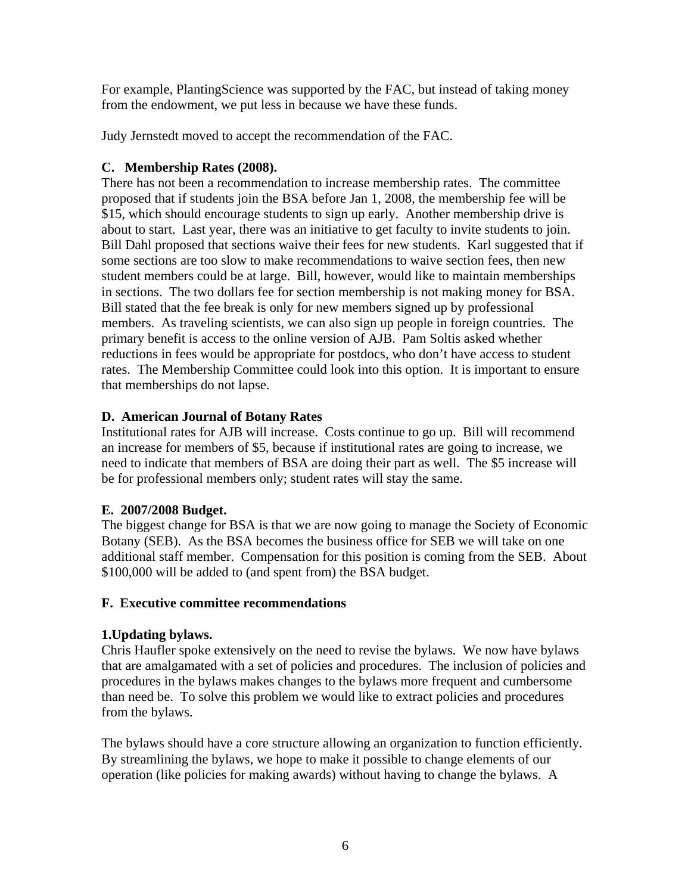For example, PlantingScience was supported by the FAC, but instead of taking money from the endowment, we put less in because we have these funds.

Judy Jernstedt moved to accept the recommendation of the FAC.

### **C. Membership Rates (2008).**

There has not been a recommendation to increase membership rates. The committee proposed that if students join the BSA before Jan 1, 2008, the membership fee will be \$15, which should encourage students to sign up early. Another membership drive is about to start. Last year, there was an initiative to get faculty to invite students to join. Bill Dahl proposed that sections waive their fees for new students. Karl suggested that if some sections are too slow to make recommendations to waive section fees, then new student members could be at large. Bill, however, would like to maintain memberships in sections. The two dollars fee for section membership is not making money for BSA. Bill stated that the fee break is only for new members signed up by professional members. As traveling scientists, we can also sign up people in foreign countries. The primary benefit is access to the online version of AJB. Pam Soltis asked whether reductions in fees would be appropriate for postdocs, who don't have access to student rates. The Membership Committee could look into this option. It is important to ensure that memberships do not lapse.

### **D. American Journal of Botany Rates**

Institutional rates for AJB will increase. Costs continue to go up. Bill will recommend an increase for members of \$5, because if institutional rates are going to increase, we need to indicate that members of BSA are doing their part as well. The \$5 increase will be for professional members only; student rates will stay the same.

## **E. 2007/2008 Budget.**

The biggest change for BSA is that we are now going to manage the Society of Economic Botany (SEB). As the BSA becomes the business office for SEB we will take on one additional staff member. Compensation for this position is coming from the SEB. About \$100,000 will be added to (and spent from) the BSA budget.

### **F. Executive committee recommendations**

### **1.Updating bylaws.**

Chris Haufler spoke extensively on the need to revise the bylaws. We now have bylaws that are amalgamated with a set of policies and procedures. The inclusion of policies and procedures in the bylaws makes changes to the bylaws more frequent and cumbersome than need be. To solve this problem we would like to extract policies and procedures from the bylaws.

The bylaws should have a core structure allowing an organization to function efficiently. By streamlining the bylaws, we hope to make it possible to change elements of our operation (like policies for making awards) without having to change the bylaws. A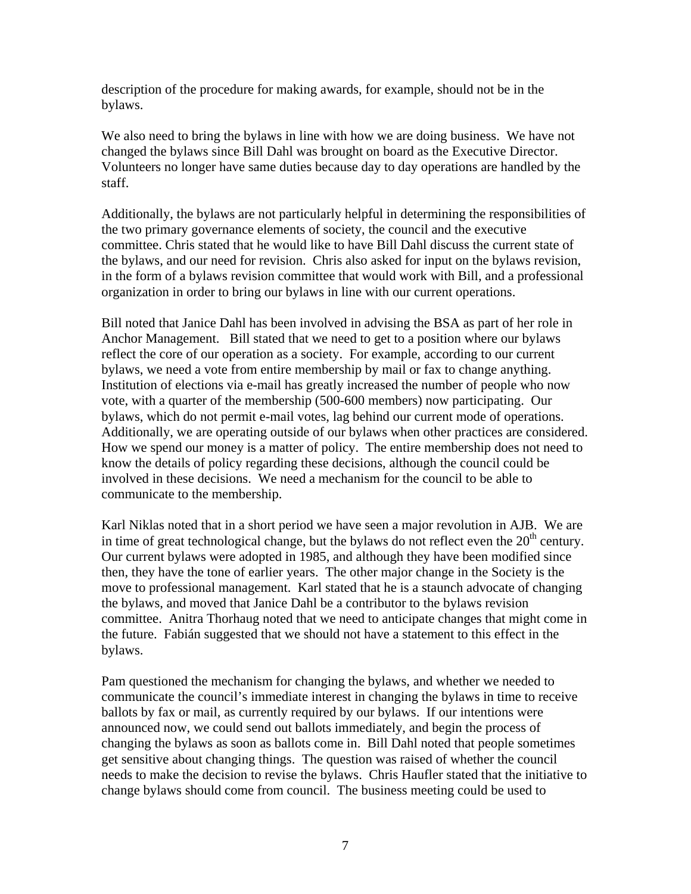description of the procedure for making awards, for example, should not be in the bylaws.

We also need to bring the bylaws in line with how we are doing business. We have not changed the bylaws since Bill Dahl was brought on board as the Executive Director. Volunteers no longer have same duties because day to day operations are handled by the staff.

Additionally, the bylaws are not particularly helpful in determining the responsibilities of the two primary governance elements of society, the council and the executive committee. Chris stated that he would like to have Bill Dahl discuss the current state of the bylaws, and our need for revision. Chris also asked for input on the bylaws revision, in the form of a bylaws revision committee that would work with Bill, and a professional organization in order to bring our bylaws in line with our current operations.

Bill noted that Janice Dahl has been involved in advising the BSA as part of her role in Anchor Management. Bill stated that we need to get to a position where our bylaws reflect the core of our operation as a society. For example, according to our current bylaws, we need a vote from entire membership by mail or fax to change anything. Institution of elections via e-mail has greatly increased the number of people who now vote, with a quarter of the membership (500-600 members) now participating. Our bylaws, which do not permit e-mail votes, lag behind our current mode of operations. Additionally, we are operating outside of our bylaws when other practices are considered. How we spend our money is a matter of policy. The entire membership does not need to know the details of policy regarding these decisions, although the council could be involved in these decisions. We need a mechanism for the council to be able to communicate to the membership.

Karl Niklas noted that in a short period we have seen a major revolution in AJB. We are in time of great technological change, but the bylaws do not reflect even the  $20<sup>th</sup>$  century. Our current bylaws were adopted in 1985, and although they have been modified since then, they have the tone of earlier years. The other major change in the Society is the move to professional management. Karl stated that he is a staunch advocate of changing the bylaws, and moved that Janice Dahl be a contributor to the bylaws revision committee. Anitra Thorhaug noted that we need to anticipate changes that might come in the future. Fabián suggested that we should not have a statement to this effect in the bylaws.

Pam questioned the mechanism for changing the bylaws, and whether we needed to communicate the council's immediate interest in changing the bylaws in time to receive ballots by fax or mail, as currently required by our bylaws. If our intentions were announced now, we could send out ballots immediately, and begin the process of changing the bylaws as soon as ballots come in. Bill Dahl noted that people sometimes get sensitive about changing things. The question was raised of whether the council needs to make the decision to revise the bylaws. Chris Haufler stated that the initiative to change bylaws should come from council. The business meeting could be used to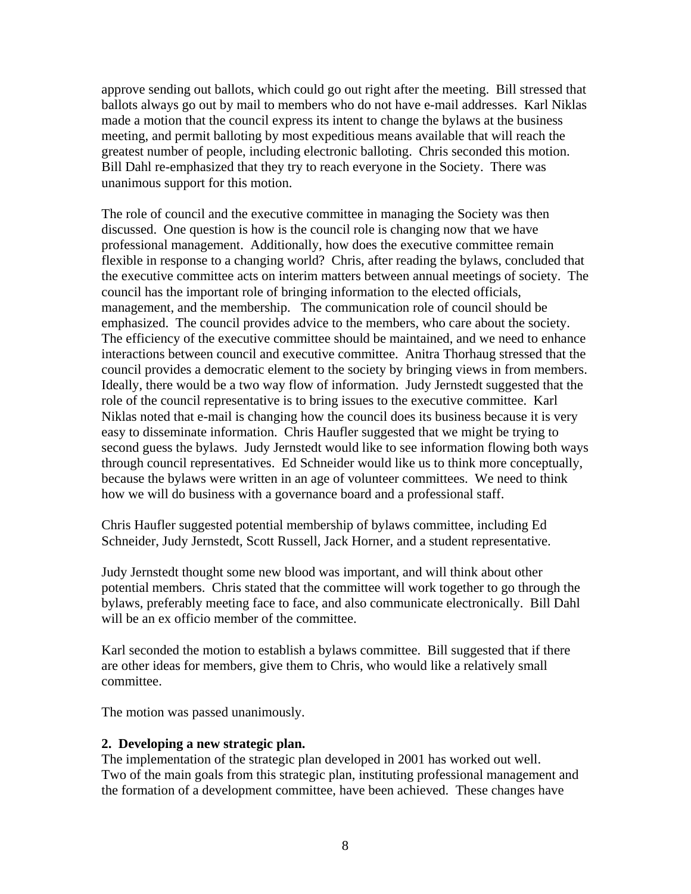approve sending out ballots, which could go out right after the meeting. Bill stressed that ballots always go out by mail to members who do not have e-mail addresses. Karl Niklas made a motion that the council express its intent to change the bylaws at the business meeting, and permit balloting by most expeditious means available that will reach the greatest number of people, including electronic balloting. Chris seconded this motion. Bill Dahl re-emphasized that they try to reach everyone in the Society. There was unanimous support for this motion.

The role of council and the executive committee in managing the Society was then discussed. One question is how is the council role is changing now that we have professional management. Additionally, how does the executive committee remain flexible in response to a changing world? Chris, after reading the bylaws, concluded that the executive committee acts on interim matters between annual meetings of society. The council has the important role of bringing information to the elected officials, management, and the membership. The communication role of council should be emphasized. The council provides advice to the members, who care about the society. The efficiency of the executive committee should be maintained, and we need to enhance interactions between council and executive committee. Anitra Thorhaug stressed that the council provides a democratic element to the society by bringing views in from members. Ideally, there would be a two way flow of information. Judy Jernstedt suggested that the role of the council representative is to bring issues to the executive committee. Karl Niklas noted that e-mail is changing how the council does its business because it is very easy to disseminate information. Chris Haufler suggested that we might be trying to second guess the bylaws. Judy Jernstedt would like to see information flowing both ways through council representatives. Ed Schneider would like us to think more conceptually, because the bylaws were written in an age of volunteer committees. We need to think how we will do business with a governance board and a professional staff.

Chris Haufler suggested potential membership of bylaws committee, including Ed Schneider, Judy Jernstedt, Scott Russell, Jack Horner, and a student representative.

Judy Jernstedt thought some new blood was important, and will think about other potential members. Chris stated that the committee will work together to go through the bylaws, preferably meeting face to face, and also communicate electronically. Bill Dahl will be an ex officio member of the committee.

Karl seconded the motion to establish a bylaws committee. Bill suggested that if there are other ideas for members, give them to Chris, who would like a relatively small committee.

The motion was passed unanimously.

### **2. Developing a new strategic plan.**

The implementation of the strategic plan developed in 2001 has worked out well. Two of the main goals from this strategic plan, instituting professional management and the formation of a development committee, have been achieved. These changes have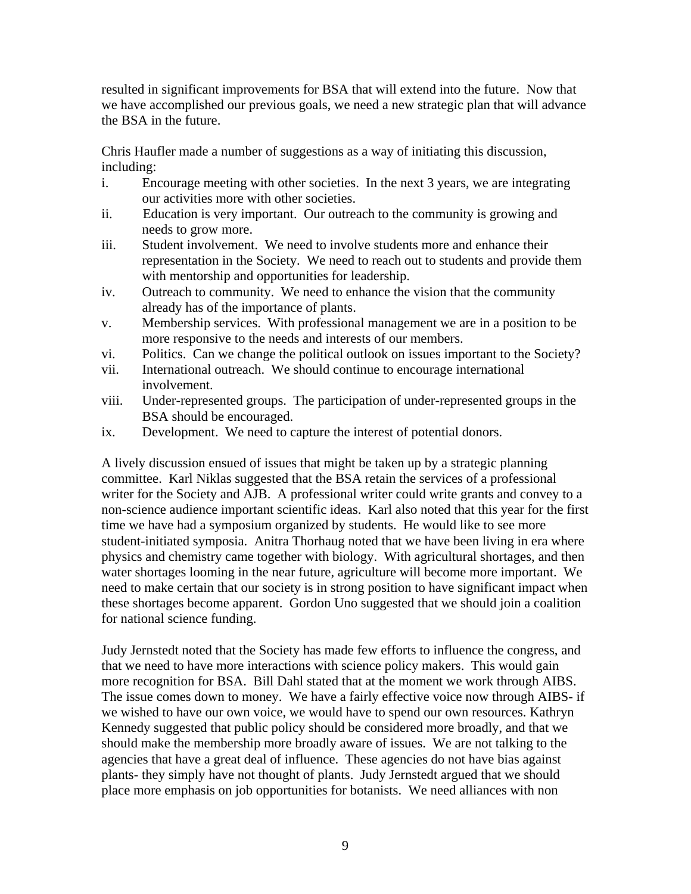resulted in significant improvements for BSA that will extend into the future. Now that we have accomplished our previous goals, we need a new strategic plan that will advance the BSA in the future.

Chris Haufler made a number of suggestions as a way of initiating this discussion, including:

- i. Encourage meeting with other societies. In the next 3 years, we are integrating our activities more with other societies.
- ii. Education is very important. Our outreach to the community is growing and needs to grow more.
- iii. Student involvement. We need to involve students more and enhance their representation in the Society. We need to reach out to students and provide them with mentorship and opportunities for leadership.
- iv. Outreach to community. We need to enhance the vision that the community already has of the importance of plants.
- v. Membership services. With professional management we are in a position to be more responsive to the needs and interests of our members.
- vi. Politics. Can we change the political outlook on issues important to the Society?
- vii. International outreach. We should continue to encourage international involvement.
- viii. Under-represented groups. The participation of under-represented groups in the BSA should be encouraged.
- ix. Development. We need to capture the interest of potential donors.

A lively discussion ensued of issues that might be taken up by a strategic planning committee. Karl Niklas suggested that the BSA retain the services of a professional writer for the Society and AJB. A professional writer could write grants and convey to a non-science audience important scientific ideas. Karl also noted that this year for the first time we have had a symposium organized by students. He would like to see more student-initiated symposia. Anitra Thorhaug noted that we have been living in era where physics and chemistry came together with biology. With agricultural shortages, and then water shortages looming in the near future, agriculture will become more important. We need to make certain that our society is in strong position to have significant impact when these shortages become apparent. Gordon Uno suggested that we should join a coalition for national science funding.

Judy Jernstedt noted that the Society has made few efforts to influence the congress, and that we need to have more interactions with science policy makers. This would gain more recognition for BSA. Bill Dahl stated that at the moment we work through AIBS. The issue comes down to money. We have a fairly effective voice now through AIBS- if we wished to have our own voice, we would have to spend our own resources. Kathryn Kennedy suggested that public policy should be considered more broadly, and that we should make the membership more broadly aware of issues. We are not talking to the agencies that have a great deal of influence. These agencies do not have bias against plants- they simply have not thought of plants. Judy Jernstedt argued that we should place more emphasis on job opportunities for botanists. We need alliances with non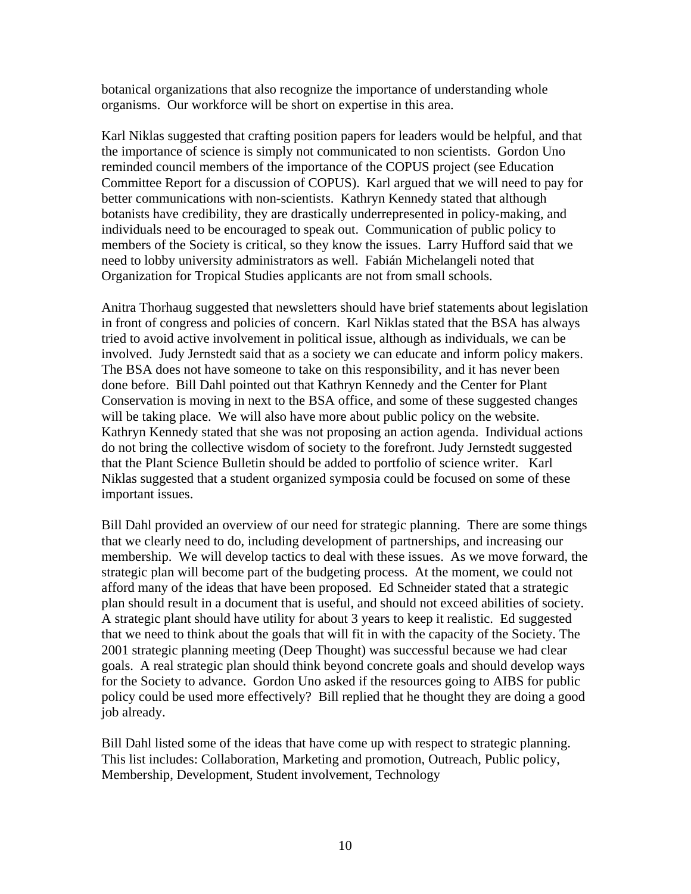botanical organizations that also recognize the importance of understanding whole organisms. Our workforce will be short on expertise in this area.

Karl Niklas suggested that crafting position papers for leaders would be helpful, and that the importance of science is simply not communicated to non scientists. Gordon Uno reminded council members of the importance of the COPUS project (see Education Committee Report for a discussion of COPUS). Karl argued that we will need to pay for better communications with non-scientists. Kathryn Kennedy stated that although botanists have credibility, they are drastically underrepresented in policy-making, and individuals need to be encouraged to speak out. Communication of public policy to members of the Society is critical, so they know the issues. Larry Hufford said that we need to lobby university administrators as well. Fabián Michelangeli noted that Organization for Tropical Studies applicants are not from small schools.

Anitra Thorhaug suggested that newsletters should have brief statements about legislation in front of congress and policies of concern. Karl Niklas stated that the BSA has always tried to avoid active involvement in political issue, although as individuals, we can be involved. Judy Jernstedt said that as a society we can educate and inform policy makers. The BSA does not have someone to take on this responsibility, and it has never been done before. Bill Dahl pointed out that Kathryn Kennedy and the Center for Plant Conservation is moving in next to the BSA office, and some of these suggested changes will be taking place. We will also have more about public policy on the website. Kathryn Kennedy stated that she was not proposing an action agenda. Individual actions do not bring the collective wisdom of society to the forefront. Judy Jernstedt suggested that the Plant Science Bulletin should be added to portfolio of science writer. Karl Niklas suggested that a student organized symposia could be focused on some of these important issues.

Bill Dahl provided an overview of our need for strategic planning. There are some things that we clearly need to do, including development of partnerships, and increasing our membership. We will develop tactics to deal with these issues. As we move forward, the strategic plan will become part of the budgeting process. At the moment, we could not afford many of the ideas that have been proposed. Ed Schneider stated that a strategic plan should result in a document that is useful, and should not exceed abilities of society. A strategic plant should have utility for about 3 years to keep it realistic. Ed suggested that we need to think about the goals that will fit in with the capacity of the Society. The 2001 strategic planning meeting (Deep Thought) was successful because we had clear goals. A real strategic plan should think beyond concrete goals and should develop ways for the Society to advance. Gordon Uno asked if the resources going to AIBS for public policy could be used more effectively? Bill replied that he thought they are doing a good job already.

Bill Dahl listed some of the ideas that have come up with respect to strategic planning. This list includes: Collaboration, Marketing and promotion, Outreach, Public policy, Membership, Development, Student involvement, Technology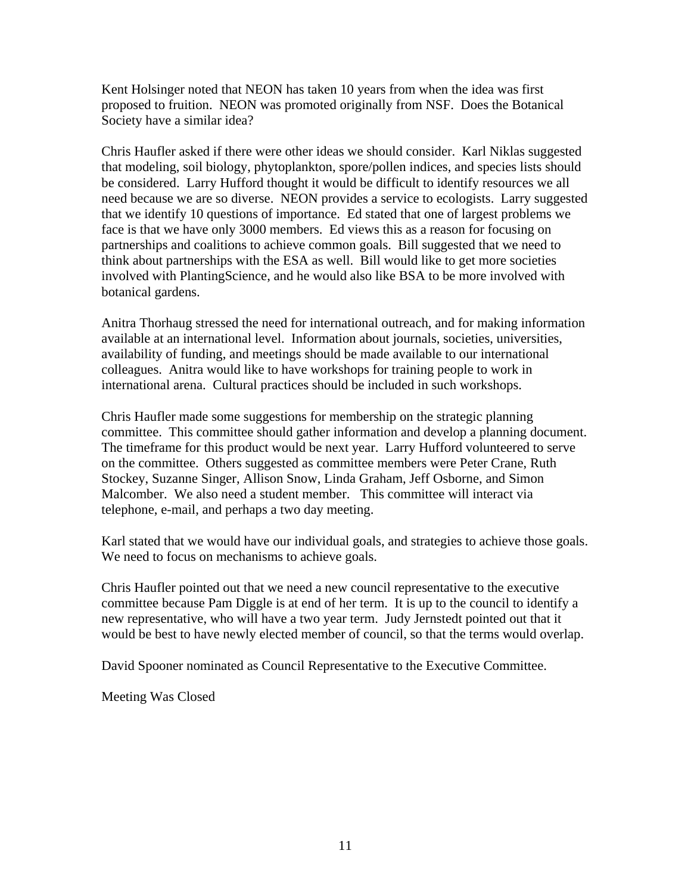Kent Holsinger noted that NEON has taken 10 years from when the idea was first proposed to fruition. NEON was promoted originally from NSF. Does the Botanical Society have a similar idea?

Chris Haufler asked if there were other ideas we should consider. Karl Niklas suggested that modeling, soil biology, phytoplankton, spore/pollen indices, and species lists should be considered. Larry Hufford thought it would be difficult to identify resources we all need because we are so diverse. NEON provides a service to ecologists. Larry suggested that we identify 10 questions of importance. Ed stated that one of largest problems we face is that we have only 3000 members. Ed views this as a reason for focusing on partnerships and coalitions to achieve common goals. Bill suggested that we need to think about partnerships with the ESA as well. Bill would like to get more societies involved with PlantingScience, and he would also like BSA to be more involved with botanical gardens.

Anitra Thorhaug stressed the need for international outreach, and for making information available at an international level. Information about journals, societies, universities, availability of funding, and meetings should be made available to our international colleagues. Anitra would like to have workshops for training people to work in international arena. Cultural practices should be included in such workshops.

Chris Haufler made some suggestions for membership on the strategic planning committee. This committee should gather information and develop a planning document. The timeframe for this product would be next year. Larry Hufford volunteered to serve on the committee. Others suggested as committee members were Peter Crane, Ruth Stockey, Suzanne Singer, Allison Snow, Linda Graham, Jeff Osborne, and Simon Malcomber. We also need a student member. This committee will interact via telephone, e-mail, and perhaps a two day meeting.

Karl stated that we would have our individual goals, and strategies to achieve those goals. We need to focus on mechanisms to achieve goals.

Chris Haufler pointed out that we need a new council representative to the executive committee because Pam Diggle is at end of her term. It is up to the council to identify a new representative, who will have a two year term. Judy Jernstedt pointed out that it would be best to have newly elected member of council, so that the terms would overlap.

David Spooner nominated as Council Representative to the Executive Committee.

Meeting Was Closed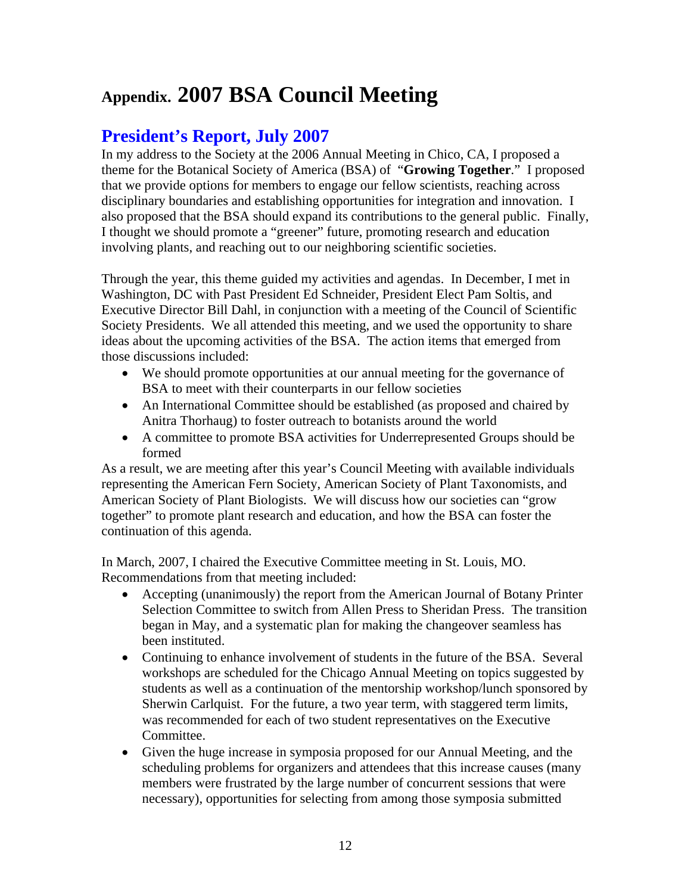# **Appendix. 2007 BSA Council Meeting**

## **President's Report, July 2007**

In my address to the Society at the 2006 Annual Meeting in Chico, CA, I proposed a theme for the Botanical Society of America (BSA) of "**Growing Together**." I proposed that we provide options for members to engage our fellow scientists, reaching across disciplinary boundaries and establishing opportunities for integration and innovation. I also proposed that the BSA should expand its contributions to the general public. Finally, I thought we should promote a "greener" future, promoting research and education involving plants, and reaching out to our neighboring scientific societies.

Through the year, this theme guided my activities and agendas. In December, I met in Washington, DC with Past President Ed Schneider, President Elect Pam Soltis, and Executive Director Bill Dahl, in conjunction with a meeting of the Council of Scientific Society Presidents. We all attended this meeting, and we used the opportunity to share ideas about the upcoming activities of the BSA. The action items that emerged from those discussions included:

- We should promote opportunities at our annual meeting for the governance of BSA to meet with their counterparts in our fellow societies
- An International Committee should be established (as proposed and chaired by Anitra Thorhaug) to foster outreach to botanists around the world
- A committee to promote BSA activities for Underrepresented Groups should be formed

As a result, we are meeting after this year's Council Meeting with available individuals representing the American Fern Society, American Society of Plant Taxonomists, and American Society of Plant Biologists. We will discuss how our societies can "grow together" to promote plant research and education, and how the BSA can foster the continuation of this agenda.

In March, 2007, I chaired the Executive Committee meeting in St. Louis, MO. Recommendations from that meeting included:

- Accepting (unanimously) the report from the American Journal of Botany Printer Selection Committee to switch from Allen Press to Sheridan Press. The transition began in May, and a systematic plan for making the changeover seamless has been instituted.
- Continuing to enhance involvement of students in the future of the BSA. Several workshops are scheduled for the Chicago Annual Meeting on topics suggested by students as well as a continuation of the mentorship workshop/lunch sponsored by Sherwin Carlquist. For the future, a two year term, with staggered term limits, was recommended for each of two student representatives on the Executive Committee.
- Given the huge increase in symposia proposed for our Annual Meeting, and the scheduling problems for organizers and attendees that this increase causes (many members were frustrated by the large number of concurrent sessions that were necessary), opportunities for selecting from among those symposia submitted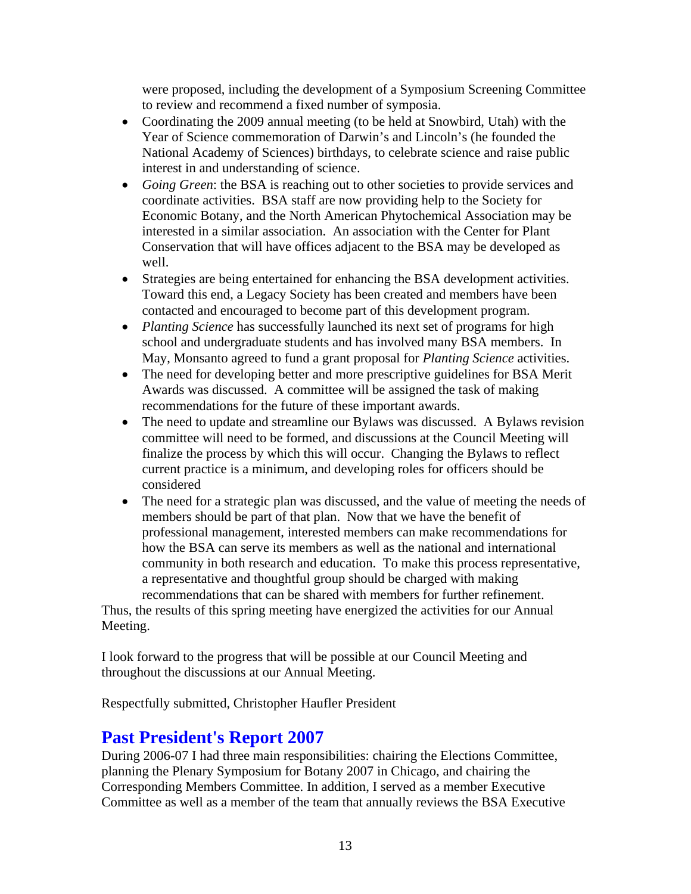were proposed, including the development of a Symposium Screening Committee to review and recommend a fixed number of symposia.

- Coordinating the 2009 annual meeting (to be held at Snowbird, Utah) with the Year of Science commemoration of Darwin's and Lincoln's (he founded the National Academy of Sciences) birthdays, to celebrate science and raise public interest in and understanding of science.
- *Going Green*: the BSA is reaching out to other societies to provide services and coordinate activities. BSA staff are now providing help to the Society for Economic Botany, and the North American Phytochemical Association may be interested in a similar association. An association with the Center for Plant Conservation that will have offices adjacent to the BSA may be developed as well.
- Strategies are being entertained for enhancing the BSA development activities. Toward this end, a Legacy Society has been created and members have been contacted and encouraged to become part of this development program.
- *Planting Science* has successfully launched its next set of programs for high school and undergraduate students and has involved many BSA members. In May, Monsanto agreed to fund a grant proposal for *Planting Science* activities.
- The need for developing better and more prescriptive guidelines for BSA Merit Awards was discussed. A committee will be assigned the task of making recommendations for the future of these important awards.
- The need to update and streamline our Bylaws was discussed. A Bylaws revision committee will need to be formed, and discussions at the Council Meeting will finalize the process by which this will occur. Changing the Bylaws to reflect current practice is a minimum, and developing roles for officers should be considered
- The need for a strategic plan was discussed, and the value of meeting the needs of members should be part of that plan. Now that we have the benefit of professional management, interested members can make recommendations for how the BSA can serve its members as well as the national and international community in both research and education. To make this process representative, a representative and thoughtful group should be charged with making

recommendations that can be shared with members for further refinement. Thus, the results of this spring meeting have energized the activities for our Annual Meeting.

I look forward to the progress that will be possible at our Council Meeting and throughout the discussions at our Annual Meeting.

Respectfully submitted, Christopher Haufler President

## **Past President's Report 2007**

During 2006-07 I had three main responsibilities: chairing the Elections Committee, planning the Plenary Symposium for Botany 2007 in Chicago, and chairing the Corresponding Members Committee. In addition, I served as a member Executive Committee as well as a member of the team that annually reviews the BSA Executive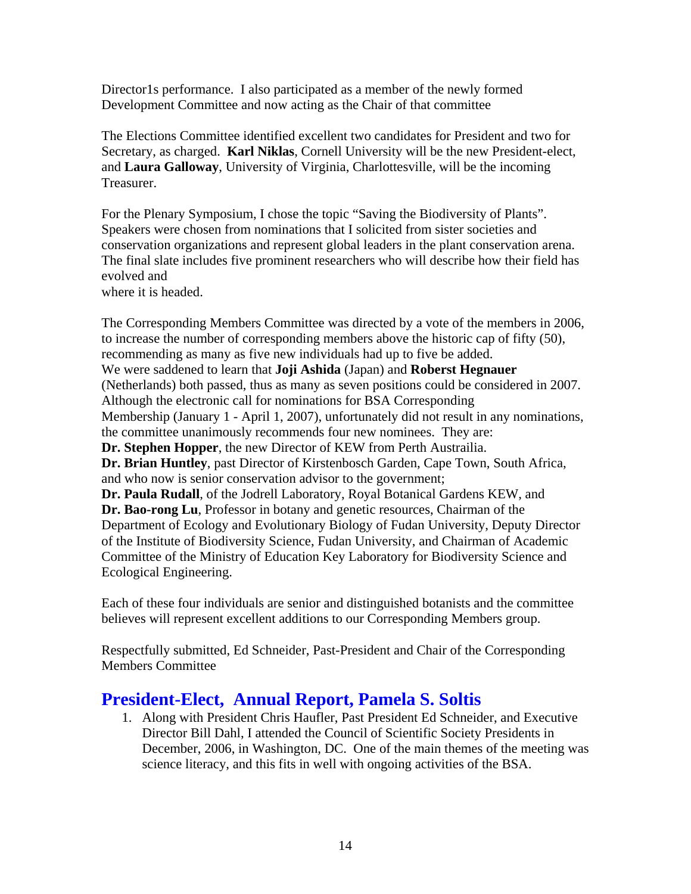Director1s performance. I also participated as a member of the newly formed Development Committee and now acting as the Chair of that committee

The Elections Committee identified excellent two candidates for President and two for Secretary, as charged. **Karl Niklas**, Cornell University will be the new President-elect, and **Laura Galloway**, University of Virginia, Charlottesville, will be the incoming Treasurer.

For the Plenary Symposium, I chose the topic "Saving the Biodiversity of Plants". Speakers were chosen from nominations that I solicited from sister societies and conservation organizations and represent global leaders in the plant conservation arena. The final slate includes five prominent researchers who will describe how their field has evolved and

where it is headed.

The Corresponding Members Committee was directed by a vote of the members in 2006, to increase the number of corresponding members above the historic cap of fifty (50), recommending as many as five new individuals had up to five be added. We were saddened to learn that **Joji Ashida** (Japan) and **Roberst Hegnauer** (Netherlands) both passed, thus as many as seven positions could be considered in 2007. Although the electronic call for nominations for BSA Corresponding Membership (January 1 - April 1, 2007), unfortunately did not result in any nominations, the committee unanimously recommends four new nominees. They are: **Dr. Stephen Hopper**, the new Director of KEW from Perth Austrailia. **Dr. Brian Huntley**, past Director of Kirstenbosch Garden, Cape Town, South Africa, and who now is senior conservation advisor to the government; **Dr. Paula Rudall**, of the Jodrell Laboratory, Royal Botanical Gardens KEW, and **Dr. Bao-rong Lu**, Professor in botany and genetic resources, Chairman of the Department of Ecology and Evolutionary Biology of Fudan University, Deputy Director of the Institute of Biodiversity Science, Fudan University, and Chairman of Academic Committee of the Ministry of Education Key Laboratory for Biodiversity Science and Ecological Engineering.

Each of these four individuals are senior and distinguished botanists and the committee believes will represent excellent additions to our Corresponding Members group.

Respectfully submitted, Ed Schneider, Past-President and Chair of the Corresponding Members Committee

## **President-Elect, Annual Report, Pamela S. Soltis**

1. Along with President Chris Haufler, Past President Ed Schneider, and Executive Director Bill Dahl, I attended the Council of Scientific Society Presidents in December, 2006, in Washington, DC. One of the main themes of the meeting was science literacy, and this fits in well with ongoing activities of the BSA.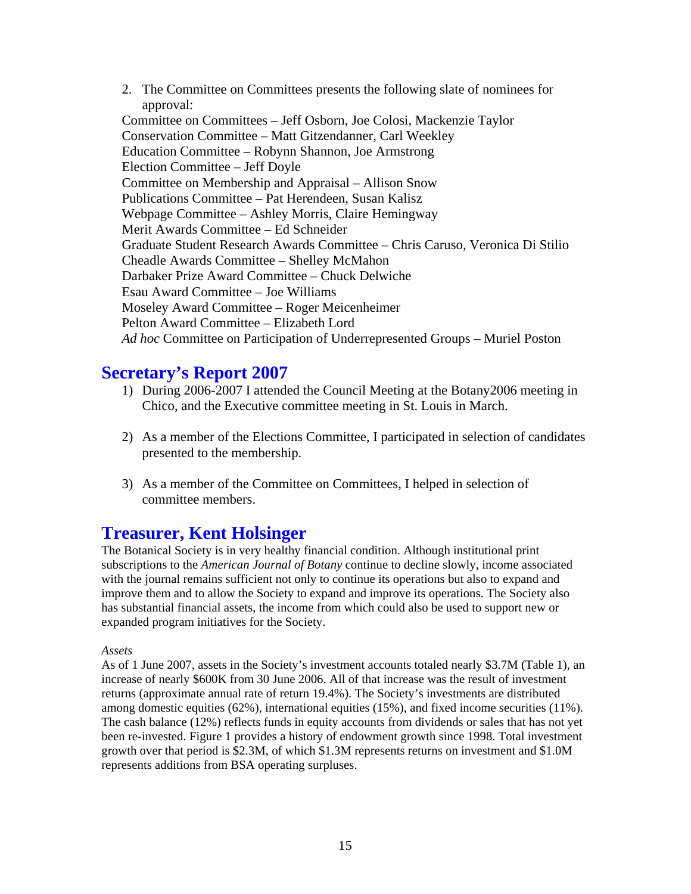2. The Committee on Committees presents the following slate of nominees for approval: Committee on Committees – Jeff Osborn, Joe Colosi, Mackenzie Taylor Conservation Committee – Matt Gitzendanner, Carl Weekley Education Committee – Robynn Shannon, Joe Armstrong Election Committee – Jeff Doyle Committee on Membership and Appraisal – Allison Snow Publications Committee – Pat Herendeen, Susan Kalisz Webpage Committee – Ashley Morris, Claire Hemingway Merit Awards Committee – Ed Schneider Graduate Student Research Awards Committee – Chris Caruso, Veronica Di Stilio Cheadle Awards Committee – Shelley McMahon Darbaker Prize Award Committee – Chuck Delwiche Esau Award Committee – Joe Williams Moseley Award Committee – Roger Meicenheimer Pelton Award Committee – Elizabeth Lord *Ad hoc* Committee on Participation of Underrepresented Groups – Muriel Poston

## **Secretary's Report 2007**

- 1) During 2006-2007 I attended the Council Meeting at the Botany2006 meeting in Chico, and the Executive committee meeting in St. Louis in March.
- 2) As a member of the Elections Committee, I participated in selection of candidates presented to the membership.
- 3) As a member of the Committee on Committees, I helped in selection of committee members.

## **Treasurer, Kent Holsinger**

The Botanical Society is in very healthy financial condition. Although institutional print subscriptions to the *American Journal of Botany* continue to decline slowly, income associated with the journal remains sufficient not only to continue its operations but also to expand and improve them and to allow the Society to expand and improve its operations. The Society also has substantial financial assets, the income from which could also be used to support new or expanded program initiatives for the Society.

### *Assets*

As of 1 June 2007, assets in the Society's investment accounts totaled nearly \$3.7M (Table 1), an increase of nearly \$600K from 30 June 2006. All of that increase was the result of investment returns (approximate annual rate of return 19.4%). The Society's investments are distributed among domestic equities (62%), international equities (15%), and fixed income securities (11%). The cash balance (12%) reflects funds in equity accounts from dividends or sales that has not yet been re-invested. Figure 1 provides a history of endowment growth since 1998. Total investment growth over that period is \$2.3M, of which \$1.3M represents returns on investment and \$1.0M represents additions from BSA operating surpluses.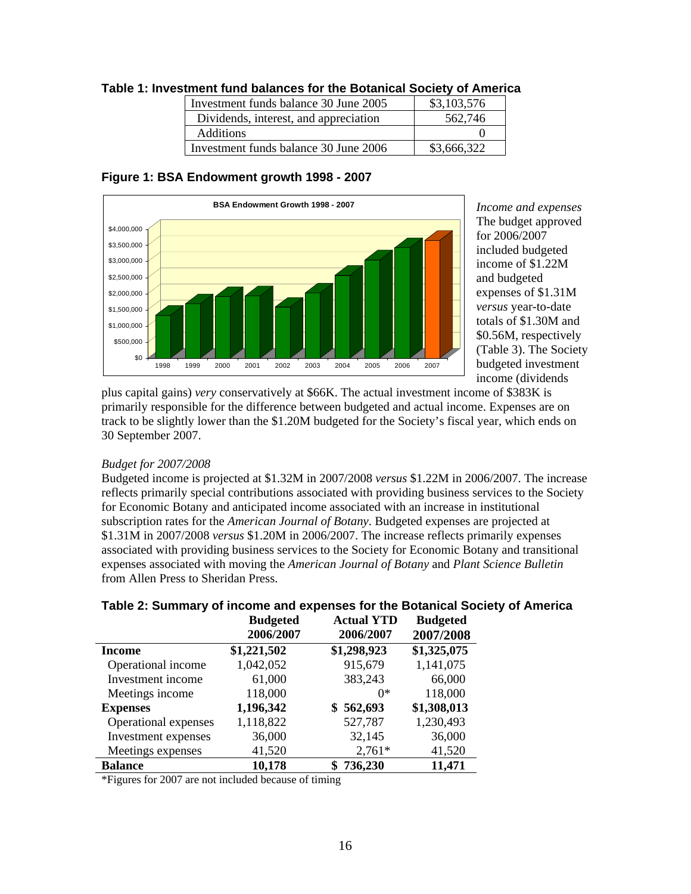| Investment funds balance 30 June 2005 | \$3,103,576 |
|---------------------------------------|-------------|
| Dividends, interest, and appreciation | 562,746     |
| <b>Additions</b>                      |             |
| Investment funds balance 30 June 2006 | \$3,666,322 |

### **Table 1: Investment fund balances for the Botanical Society of America**





*Income and expenses* The budget approved for 2006/2007 included budgeted income of \$1.22M and budgeted expenses of \$1.31M *versus* year-to-d ate totals of \$1.30M and \$0.56M, respectively (Table 3). The Society budgeted investmen t income (dividends

plus capital gains) *very* conservatively at \$66K. The actual investment income of \$383K i s primarily responsible for the difference between budgeted and actual income. Expenses are on track to be slightly lower than the \$1.20M budgeted for the Society's fiscal year, which e nds on 30 September 200 7.

### *Budget for 2007/2008*

Budgeted income is projected at \$1.32M in 2007/2008 *versus* \$1.22M in 2006/2007. The increase reflects primarily special contributions associated with providing business services to the Society for Economic Botany and anticipated income associated with an increase in institutional subscription rates for the *American Journal of Botany*. Budgeted expenses are projected at \$1.31M in 2007/2008 *versus* \$1.20M in 2006/2007. The increase reflects primarily expenses associated with providing business services to the Society for Economic Botany and transitional expenses associated with moving the *American Journal of Botany* and *Plant Science Bulletin* from Allen Press to Sheridan Press.

|                      | <b>Budgeted</b><br>2006/2007 | <b>Actual YTD</b><br>2006/2007 | <b>Budgeted</b><br>2007/2008 |
|----------------------|------------------------------|--------------------------------|------------------------------|
| Income               | \$1,221,502                  | \$1,298,923                    | \$1,325,075                  |
| Operational income   | 1,042,052                    | 915,679                        | 1,141,075                    |
| Investment income    | 61,000                       | 383,243                        | 66,000                       |
| Meetings income      | 118,000                      | $0*$                           | 118,000                      |
| <b>Expenses</b>      | 1,196,342                    | \$562,693                      | \$1,308,013                  |
| Operational expenses | 1,118,822                    | 527,787                        | 1,230,493                    |
| Investment expenses  | 36,000                       | 32,145                         | 36,000                       |
| Meetings expenses    | 41,520                       | $2,761*$                       | 41,520                       |
| <b>Balance</b>       | 10,178                       | 736,230                        | 11,471                       |

### **Table 2: Summary of income and expenses for the Botanical Society of America**

\*Figures for 2007 are not included because of timing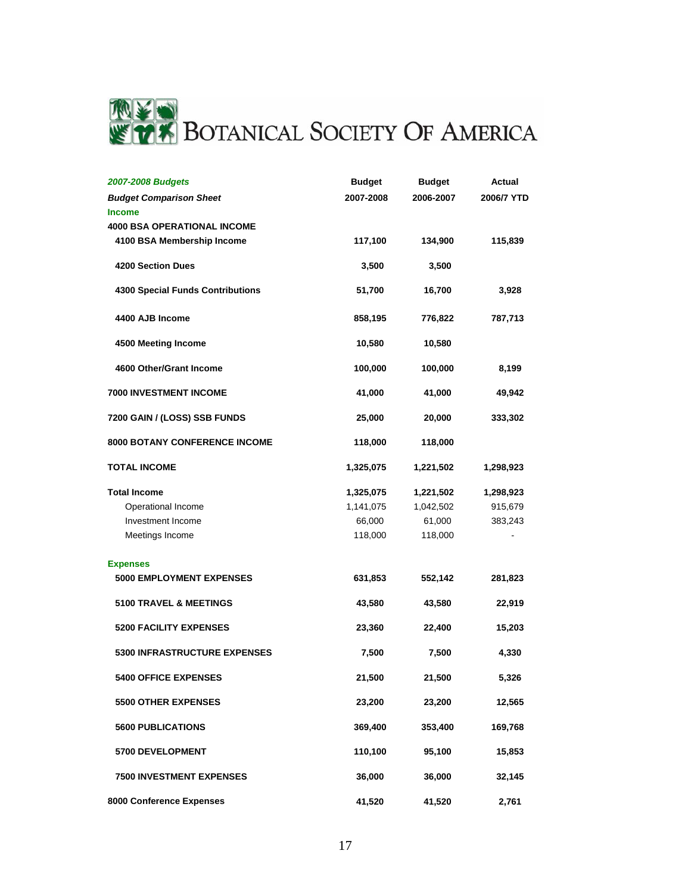

| 2007-2008 Budgets                       | <b>Budget</b> | <b>Budget</b> | Actual     |
|-----------------------------------------|---------------|---------------|------------|
| <b>Budget Comparison Sheet</b>          | 2007-2008     | 2006-2007     | 2006/7 YTD |
| <b>Income</b>                           |               |               |            |
| <b>4000 BSA OPERATIONAL INCOME</b>      |               |               |            |
| 4100 BSA Membership Income              | 117,100       | 134,900       | 115,839    |
| <b>4200 Section Dues</b>                | 3,500         | 3,500         |            |
| <b>4300 Special Funds Contributions</b> | 51,700        | 16,700        | 3,928      |
| 4400 AJB Income                         | 858,195       | 776,822       | 787,713    |
| 4500 Meeting Income                     | 10,580        | 10,580        |            |
| 4600 Other/Grant Income                 | 100,000       | 100,000       | 8,199      |
| 7000 INVESTMENT INCOME                  | 41,000        | 41,000        | 49,942     |
| 7200 GAIN / (LOSS) SSB FUNDS            | 25,000        | 20,000        | 333,302    |
| <b>8000 BOTANY CONFERENCE INCOME</b>    | 118,000       | 118,000       |            |
| <b>TOTAL INCOME</b>                     | 1,325,075     | 1,221,502     | 1,298,923  |
| <b>Total Income</b>                     | 1,325,075     | 1,221,502     | 1,298,923  |
| Operational Income                      | 1,141,075     | 1,042,502     | 915,679    |
| Investment Income                       | 66,000        | 61,000        | 383,243    |
| Meetings Income                         | 118,000       | 118,000       |            |
| <b>Expenses</b>                         |               |               |            |
| <b>5000 EMPLOYMENT EXPENSES</b>         | 631,853       | 552,142       | 281,823    |
| <b>5100 TRAVEL &amp; MEETINGS</b>       | 43,580        | 43,580        | 22,919     |
| <b>5200 FACILITY EXPENSES</b>           | 23,360        | 22,400        | 15,203     |
| <b>5300 INFRASTRUCTURE EXPENSES</b>     | 7,500         | 7,500         | 4,330      |
| <b>5400 OFFICE EXPENSES</b>             | 21,500        | 21,500        | 5,326      |
| <b>5500 OTHER EXPENSES</b>              | 23,200        | 23,200        | 12,565     |
| <b>5600 PUBLICATIONS</b>                | 369,400       | 353,400       | 169,768    |
| 5700 DEVELOPMENT                        | 110,100       | 95,100        | 15,853     |
| <b>7500 INVESTMENT EXPENSES</b>         | 36,000        | 36,000        | 32,145     |
| 8000 Conference Expenses                | 41,520        | 41,520        | 2,761      |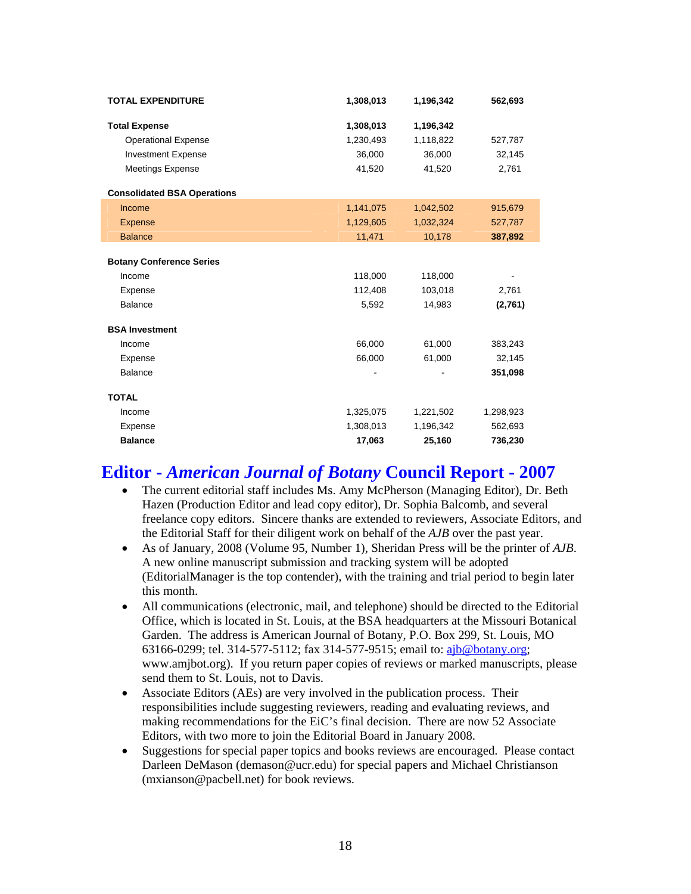| <b>TOTAL EXPENDITURE</b>           | 1,308,013 | 1,196,342 | 562,693   |
|------------------------------------|-----------|-----------|-----------|
| <b>Total Expense</b>               | 1,308,013 | 1,196,342 |           |
| <b>Operational Expense</b>         | 1,230,493 | 1,118,822 | 527,787   |
| <b>Investment Expense</b>          | 36,000    | 36,000    | 32,145    |
| <b>Meetings Expense</b>            | 41,520    | 41,520    | 2,761     |
| <b>Consolidated BSA Operations</b> |           |           |           |
| Income                             | 1,141,075 | 1,042,502 | 915,679   |
| <b>Expense</b>                     | 1,129,605 | 1,032,324 | 527,787   |
| <b>Balance</b>                     | 11,471    | 10,178    | 387,892   |
|                                    |           |           |           |
| <b>Botany Conference Series</b>    |           |           |           |
| Income                             | 118,000   | 118,000   |           |
| Expense                            | 112,408   | 103,018   | 2,761     |
| <b>Balance</b>                     | 5,592     | 14,983    | (2,761)   |
| <b>BSA Investment</b>              |           |           |           |
| Income                             | 66,000    | 61,000    | 383,243   |
| Expense                            | 66,000    | 61,000    | 32,145    |
| <b>Balance</b>                     |           |           | 351,098   |
| <b>TOTAL</b>                       |           |           |           |
| Income                             | 1,325,075 | 1,221,502 | 1,298,923 |
| Expense                            | 1,308,013 | 1,196,342 | 562,693   |
| <b>Balance</b>                     | 17,063    | 25,160    | 736,230   |

## **Editor -** *American Journal of Botany* **Council Report - 2007**

- The current editorial staff includes Ms. Amy McPherson (Managing Editor), Dr. Beth Hazen (Production Editor and lead copy editor), Dr. Sophia Balcomb, and several freelance copy editors. Sincere thanks are extended to reviewers, Associate Editors, and the Editorial Staff for their diligent work on behalf of the *AJB* over the past year.
- As of January, 2008 (Volume 95, Number 1), Sheridan Press will be the printer of *AJB*. A new online manuscript submission and tracking system will be adopted (EditorialManager is the top contender), with the training and trial period to begin later this month.
- All communications (electronic, mail, and telephone) should be directed to the Editorial Office, which is located in St. Louis, at the BSA headquarters at the Missouri Botanical Garden. The address is American Journal of Botany, P.O. Box 299, St. Louis, MO 63166-0299; tel. 314-577-5112; fax 314-577-9515; email to: [ajb@botany.org;](mailto:ajb@botany.org) www.amjbot.org). If you return paper copies of reviews or marked manuscripts, please send them to St. Louis, not to Davis.
- Associate Editors (AEs) are very involved in the publication process. Their responsibilities include suggesting reviewers, reading and evaluating reviews, and making recommendations for the EiC's final decision. There are now 52 Associate Editors, with two more to join the Editorial Board in January 2008.
- Suggestions for special paper topics and books reviews are encouraged. Please contact Darleen DeMason (demason@ucr.edu) for special papers and Michael Christianson (mxianson@pacbell.net) for book reviews.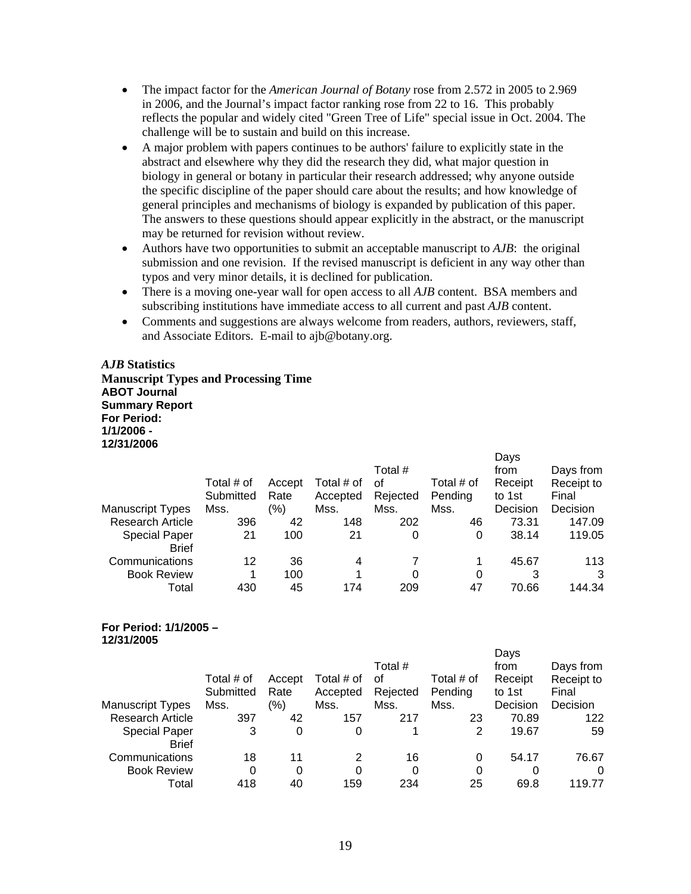- The impact factor for the *American Journal of Botany* rose from 2.572 in 2005 to 2.969 in 2006, and the Journal's impact factor ranking rose from 22 to 16. This probably reflects the popular and widely cited "Green Tree of Life" special issue in Oct. 2004. The challenge will be to sustain and build on this increase.
- A major problem with papers continues to be authors' failure to explicitly state in the abstract and elsewhere why they did the research they did, what major question in biology in general or botany in particular their research addressed; why anyone outside the specific discipline of the paper should care about the results; and how knowledge of general principles and mechanisms of biology is expanded by publication of this paper. The answers to these questions should appear explicitly in the abstract, or the manuscript may be returned for revision without review.
- Authors have two opportunities to submit an acceptable manuscript to *AJB*: the original submission and one revision. If the revised manuscript is deficient in any way other than typos and very minor details, it is declined for publication.
- There is a moving one-year wall for open access to all *AJB* content. BSA members and subscribing institutions have immediate access to all current and past *AJB* content.
- Comments and suggestions are always welcome from readers, authors, reviewers, staff, and Associate Editors. E-mail to ajb@botany.org.

#### *AJB* **Statistics**

**Manuscript Types and Processing Time ABOT Journal Summary Report For Period: 1/1/2006 - 12/31/2006** 

|                                      | Total # of | Accept | Total # of | Total #<br>οf | Total # of | Days<br>from<br>Receipt | Days from<br>Receipt to |
|--------------------------------------|------------|--------|------------|---------------|------------|-------------------------|-------------------------|
|                                      | Submitted  | Rate   | Accepted   | Rejected      | Pending    | to 1st                  | Final                   |
| <b>Manuscript Types</b>              | Mss.       | '%)    | Mss.       | Mss.          | Mss.       | Decision                | Decision                |
| <b>Research Article</b>              | 396        | 42     | 148        | 202           | 46         | 73.31                   | 147.09                  |
| <b>Special Paper</b><br><b>Brief</b> | 21         | 100    | 21         | 0             | 0          | 38.14                   | 119.05                  |
| Communications                       | 12         | 36     | 4          |               | 1          | 45.67                   | 113                     |
| <b>Book Review</b>                   | 1          | 100    |            | 0             | 0          | 3                       | 3                       |
| Total                                | 430        | 45     | 174        | 209           | 47         | 70.66                   | 144.34                  |

#### **For Period: 1/1/2005 – 12/31/2005**

|                         |            |        |            |          |            | Days     |            |
|-------------------------|------------|--------|------------|----------|------------|----------|------------|
|                         |            |        |            | Total #  |            | from     | Days from  |
|                         | Total # of | Accept | Total # of | of       | Total # of | Receipt  | Receipt to |
|                         | Submitted  | Rate   | Accepted   | Rejected | Pending    | to 1st   | Final      |
| <b>Manuscript Types</b> | Mss.       | (%)    | Mss.       | Mss.     | Mss.       | Decision | Decision   |
| <b>Research Article</b> | 397        | 42     | 157        | 217      | 23         | 70.89    | 122        |
| <b>Special Paper</b>    | 3          | 0      | 0          |          | 2          | 19.67    | 59         |
| <b>Brief</b>            |            |        |            |          |            |          |            |
| Communications          | 18         | 11     | 2          | 16       | 0          | 54.17    | 76.67      |
| <b>Book Review</b>      | 0          | 0      | 0          | 0        | 0          | 0        | 0          |
| Total                   | 418        | 40     | 159        | 234      | 25         | 69.8     | 119.77     |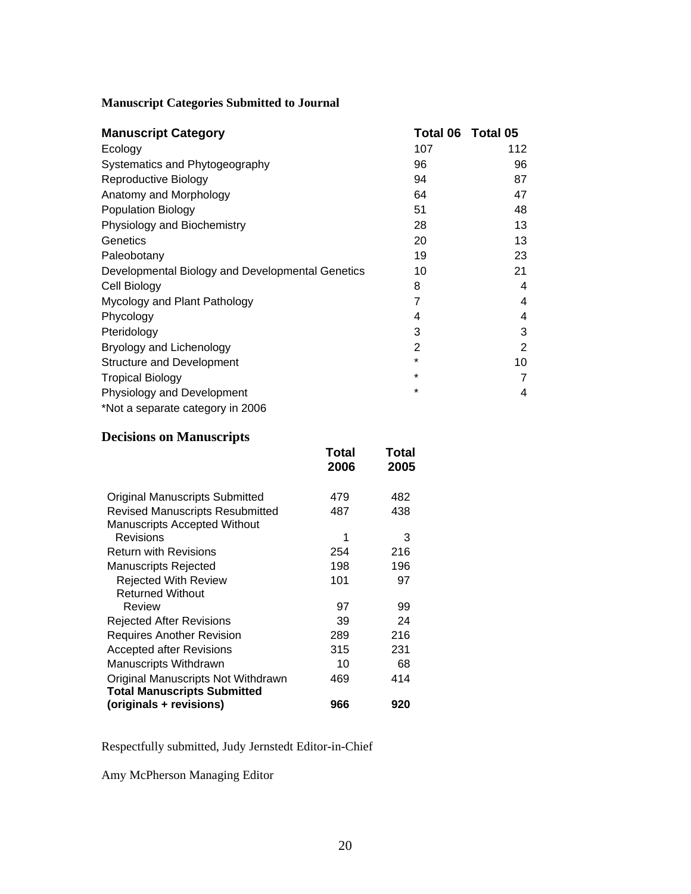## **Manuscript Categories Submitted to Journal**

| <b>Manuscript Category</b>                       | Total 06 Total 05 |                |
|--------------------------------------------------|-------------------|----------------|
| Ecology                                          | 107               | 112            |
| Systematics and Phytogeography                   | 96                | 96             |
| Reproductive Biology                             | 94                | 87             |
| Anatomy and Morphology                           | 64                | 47             |
| <b>Population Biology</b>                        | 51                | 48             |
| Physiology and Biochemistry                      | 28                | 13             |
| Genetics                                         | 20                | 13             |
| Paleobotany                                      | 19                | 23             |
| Developmental Biology and Developmental Genetics | 10                | 21             |
| Cell Biology                                     | 8                 | 4              |
| Mycology and Plant Pathology                     | 7                 | 4              |
| Phycology                                        | 4                 | 4              |
| Pteridology                                      | 3                 | 3              |
| Bryology and Lichenology                         | 2                 | $\overline{2}$ |
| <b>Structure and Development</b>                 | $\star$           | 10             |
| Tropical Biology                                 | $\star$           | 7              |
| Physiology and Development                       | $\star$           | 4              |
| *Not a separate category in 2006                 |                   |                |

## **Decisions on Manuscripts**

|                                        | Total<br>2006 | Total<br>2005 |
|----------------------------------------|---------------|---------------|
| <b>Original Manuscripts Submitted</b>  | 479           | 482           |
| <b>Revised Manuscripts Resubmitted</b> | 487           | 438           |
| <b>Manuscripts Accepted Without</b>    |               |               |
| Revisions                              | 1             | 3             |
| <b>Return with Revisions</b>           | 254           | 216           |
| <b>Manuscripts Rejected</b>            | 198           | 196           |
| <b>Rejected With Review</b>            | 101           | 97            |
| <b>Returned Without</b>                |               |               |
| Review                                 | 97            | 99            |
| Rejected After Revisions               | 39            | 24            |
| <b>Requires Another Revision</b>       | 289           | 216           |
| <b>Accepted after Revisions</b>        | 315           | 231           |
| Manuscripts Withdrawn                  | 10            | 68            |
| Original Manuscripts Not Withdrawn     | 469           | 414           |
| <b>Total Manuscripts Submitted</b>     |               |               |
| (originals + revisions)                | 966           | 920           |

Respectfully submitted, Judy Jernstedt Editor-in-Chief

Amy McPherson Managing Editor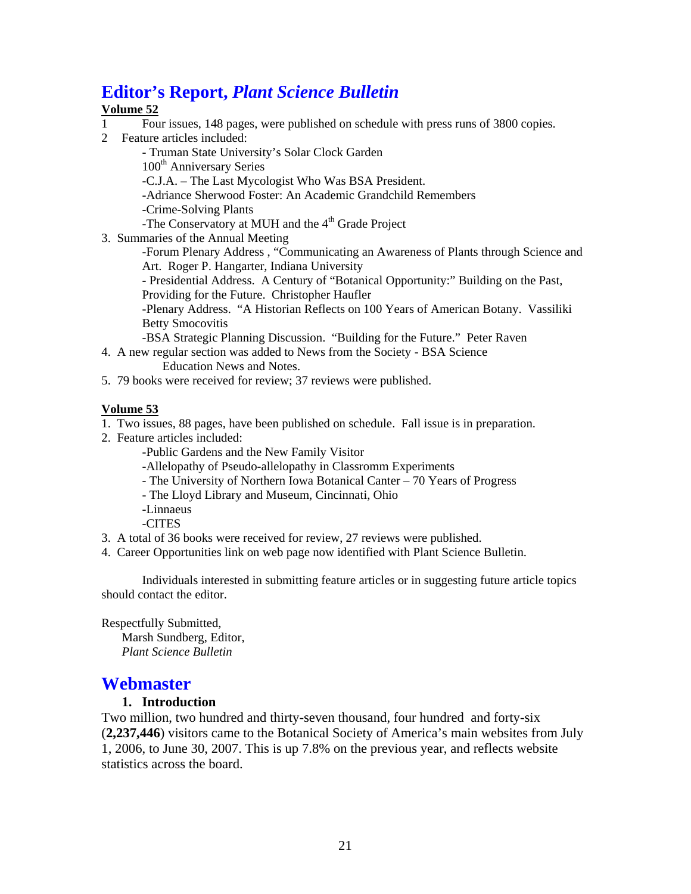## **Editor's Report,** *Plant Science Bulletin*

### **Volume 52**

- 1 Four issues, 148 pages, were published on schedule with press runs of 3800 copies.
- 2 Feature articles included:

 - Truman State University's Solar Clock Garden 100<sup>th</sup> Anniversary Series -C.J.A. – The Last Mycologist Who Was BSA President. -Adriance Sherwood Foster: An Academic Grandchild Remembers -Crime-Solving Plants -The Conservatory at MUH and the 4<sup>th</sup> Grade Project

3. Summaries of the Annual Meeting

-Forum Plenary Address , "Communicating an Awareness of Plants through Science and Art. Roger P. Hangarter, Indiana University

- Presidential Address. A Century of "Botanical Opportunity:" Building on the Past, Providing for the Future. Christopher Haufler

-Plenary Address. "A Historian Reflects on 100 Years of American Botany. Vassiliki Betty Smocovitis

-BSA Strategic Planning Discussion. "Building for the Future." Peter Raven

- 4. A new regular section was added to News from the Society BSA Science Education News and Notes.
- 5. 79 books were received for review; 37 reviews were published.

### **Volume 53**

- 1. Two issues, 88 pages, have been published on schedule. Fall issue is in preparation.
- 2. Feature articles included:
	- -Public Gardens and the New Family Visitor
	- -Allelopathy of Pseudo-allelopathy in Classromm Experiments
	- The University of Northern Iowa Botanical Canter 70 Years of Progress
	- The Lloyd Library and Museum, Cincinnati, Ohio
	- -Linnaeus
	- -CITES
- 3. A total of 36 books were received for review, 27 reviews were published.
- 4. Career Opportunities link on web page now identified with Plant Science Bulletin.

Individuals interested in submitting feature articles or in suggesting future article topics should contact the editor.

Respectfully Submitted,

Marsh Sundberg, Editor,  *Plant Science Bulletin* 

## **Webmaster**

### **1. Introduction**

Two million, two hundred and thirty-seven thousand, four hundred and forty-six (**2,237,446**) visitors came to the Botanical Society of America's main websites from July 1, 2006, to June 30, 2007. This is up 7.8% on the previous year, and reflects website statistics across the board.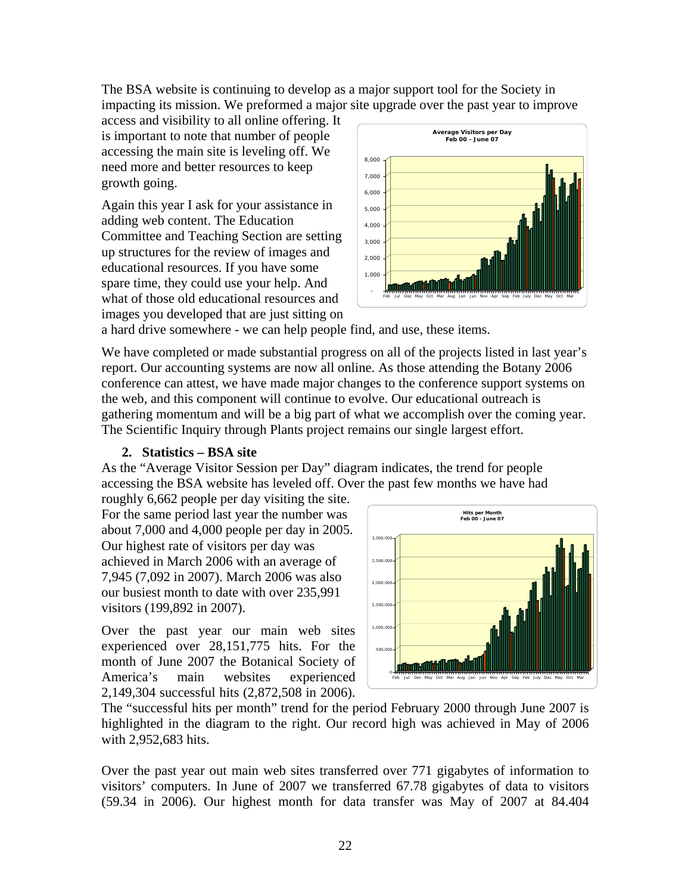The BSA website is continuing to develop as a major support tool for the Society in impacting its mission. We preformed a major site upgrade over the past year to improve

access and visibility to all online offering. It is important to note that number of people accessing the main site is leveling off. We need more and better resources to keep growth going.

Again this year I ask for your assistance in adding web content. The Education Committee and Teaching Section are setting up structures for the review of images and educational resources. If you have some spare time, they could use your help. And what of those old educational resources and images you developed that are just sitting on



a hard drive somewhere - we can help people find, and use, these items.

We have completed or made substantial progress on all of the projects listed in last year's report. Our accounting systems are now all online. As those attending the Botany 2006 conference can attest, we have made major changes to the conference support systems on the web, and this component will continue to evolve. Our educational outreach is gathering momentum and will be a big part of what we accomplish over the coming year. The Scientific Inquiry through Plants project remains our single largest effort.

### **2. Statistics – BSA site**

As the "Average Visitor Session per Day" diagram indicates, the trend for people accessing the BSA website has leveled off. Over the past few months we have had

roughly 6,662 people per day visiting the site. For the same period last year the number was about 7,000 and 4,000 people per day in 2005. Our highest rate of visitors per day was achieved in March 2006 with an average of 7,945 (7,092 in 2007). March 2006 was also our busiest month to date with over 235,991 visitors (199,892 in 2007).

Over the past year our main web sites experienced over 28,151,775 hits. For the month of June 2007 the Botanical Society of America's main websites experienced 2,149,304 successful hits (2,872,508 in 2006).



The "successful hits per month" trend for the period February 2000 through June 2007 is highlighted in the diagram to the right. Our record high was achieved in May of 2006 with 2,952,683 hits.

Over the past year out main web sites transferred over 771 gigabytes of information to visitors' computers. In June of 2007 we transferred 67.78 gigabytes of data to visitors (59.34 in 2006). Our highest month for data transfer was May of 2007 at 84.404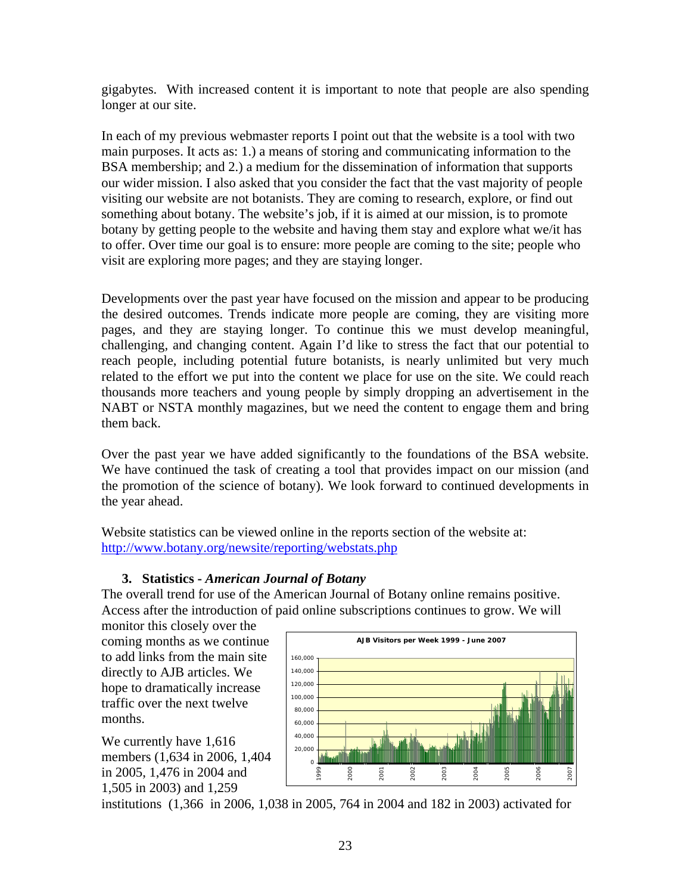gigabytes. With increased content it is important to note that people are also spending longer at our site.

In each of my previous webmaster reports I point out that the website is a tool with two main purposes. It acts as: 1.) a means of storing and communicating information to the BSA membership; and 2.) a medium for the dissemination of information that supports our wider mission. I also asked that you consider the fact that the vast majority of people visiting our website are not botanists. They are coming to research, explore, or find out something about botany. The website's job, if it is aimed at our mission, is to promote botany by getting people to the website and having them stay and explore what we/it has to offer. Over time our goal is to ensure: more people are coming to the site; people who visit are exploring more pages; and they are staying longer.

Developments over the past year have focused on the mission and appear to be producing the desired outcomes. Trends indicate more people are coming, they are visiting more pages, and they are staying longer. To continue this we must develop meaningful, challenging, and changing content. Again I'd like to stress the fact that our potential to reach people, including potential future botanists, is nearly unlimited but very much related to the effort we put into the content we place for use on the site. We could reach thousands more teachers and young people by simply dropping an advertisement in the NABT or NSTA monthly magazines, but we need the content to engage them and bring them back.

Over the past year we have added significantly to the foundations of the BSA website. We have continued the task of creating a tool that provides impact on our mission (and the promotion of the science of botany). We look forward to continued developments in the year ahead.

Website statistics can be viewed online in the reports section of the website at: <http://www.botany.org/newsite/reporting/webstats.php>

### **3. Statistics -** *American Journal of Botany*

The overall trend for use of the American Journal of Botany online remains positive. Access after the introduction of paid online subscriptions continues to grow. We will

monitor this closely over the coming months as we continue to add links from the main site directly to AJB articles. We hope to dramatically increase traffic over the next twelve months.

We currently have 1,616 members (1,634 in 2006, 1,404 in 2005, 1,476 in 2004 and 1,505 in 2003) and 1,259



institutions (1,366 in 2006, 1,038 in 2005, 764 in 2004 and 182 in 2003) activated for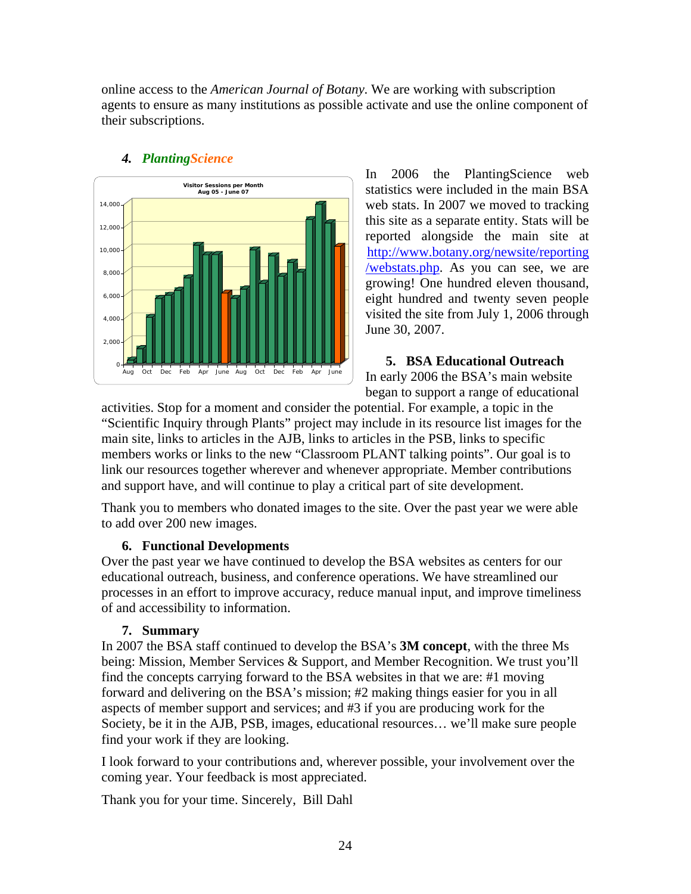online access to the *American Journal of Botany*. We are working with subscription agents to ensure as many institutions as possible activate and use the online component of their subscriptions.



## *4. PlantingScience*

In 2006 the PlantingScience web statistics were included in the main BSA web stats. In 2007 we moved to tracking this site as a separate entity. Stats will be reported alongside the main site at [http://www.botany.org/newsite/reporting](http://www.botany.org/newsite/reporting/webstats.php) [/webstats.php.](http://www.botany.org/newsite/reporting/webstats.php) As you can see, we are growing! One hundred eleven thousand, eight hundred and twenty seven people visited the site from July 1, 2006 through June 30, 2007.

**5. BSA Educational Outreach**  In early 2006 the BSA's main website began to support a range of educational

activities. Stop for a moment and consider the potential. For example, a topic in the "Scientific Inquiry through Plants" project may include in its resource list images for the main site, links to articles in the AJB, links to articles in the PSB, links to specific members works or links to the new "Classroom PLANT talking points". Our goal is to link our resources together wherever and whenever appropriate. Member contributions and support have, and will continue to play a critical part of site development.

Thank you to members who donated images to the site. Over the past year we were able to add over 200 new images.

### **6. Functional Developments**

Over the past year we have continued to develop the BSA websites as centers for our educational outreach, business, and conference operations. We have streamlined our processes in an effort to improve accuracy, reduce manual input, and improve timeliness of and accessibility to information.

## **7. Summary**

In 2007 the BSA staff continued to develop the BSA's **3M concept**, with the three Ms being: Mission, Member Services & Support, and Member Recognition. We trust you'll find the concepts carrying forward to the BSA websites in that we are: #1 moving forward and delivering on the BSA's mission; #2 making things easier for you in all aspects of member support and services; and #3 if you are producing work for the Society, be it in the AJB, PSB, images, educational resources… we'll make sure people find your work if they are looking.

I look forward to your contributions and, wherever possible, your involvement over the coming year. Your feedback is most appreciated.

Thank you for your time. Sincerely, Bill Dahl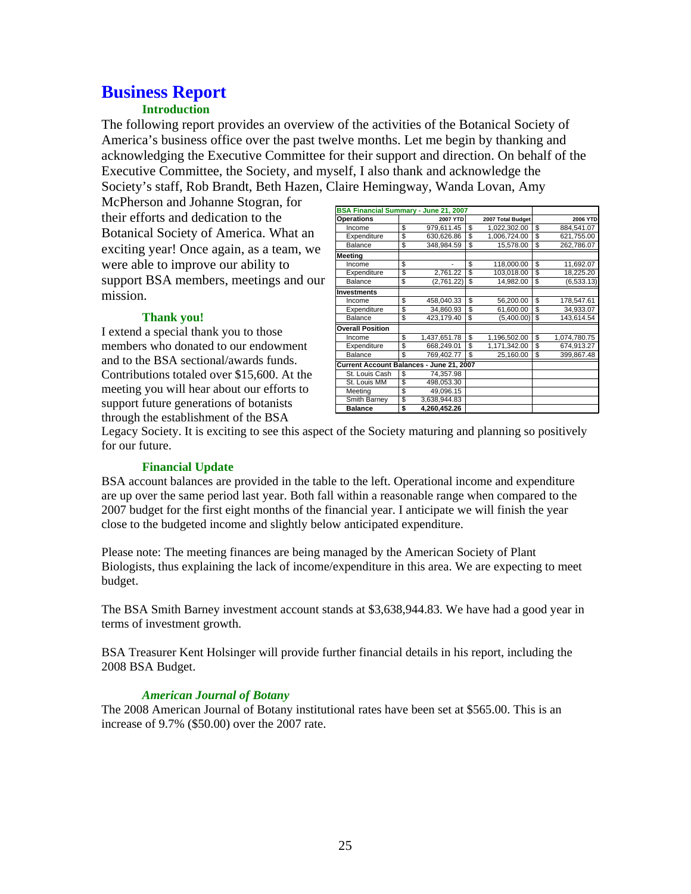## **Business Report**

### **Introduction**

The following report provides an overview of the activities of the Botanical Society of America's business office over the past twelve months. Let me begin by thanking and acknowledging the Executive Committee for their support and direction. On behalf of the Executive Committee, the Society, and myself, I also thank and acknowledge the Society's staff, Rob Brandt, Beth Hazen, Claire Hemingway, Wanda Lovan, Amy

McPherson and Johanne Stogran, for their efforts and dedication to the Botanical Society of America. What an exciting year! Once again, as a team, we were able to improve our ability to support BSA members, meetings and our mission.

#### **BSA Financial Summary - June 21, 2007 Operations 2007 YTD 2007 Total Budget 2006 YTD**<br> **Process 1022 302 00 \$ 884 541 072 302 00 \$ 884 541 072 302 00 \$ 884 541 072 302 00 \$ 884 541 07** Income \$ 979,611.45 \$ 1,022,302.00 \$ 884,541.07<br>Expenditure \$ 630,626.86 \$ 1,006,724.00 \$ 621,755.00 Expenditure \$ 630,626.86 \$ 1,006,724.00 \$ 621,755.00<br>Balance \$ 348,984.59 \$ 15,578.00 \$ 262,786.07 8 348,984.59 **Meeting** 11,692.07<br>
Expenditure \$ 2761.22 \$ 103.018.00 \$ 18.225.20 Expenditure  $\frac{1}{3}$  2,761.22  $\frac{1}{3}$  103,018.00 Balance \$ (2,761.22) \$ 14,982.00 \$ (6,533.13) **Investments** Income \$ 458,040.33 \$ 56,200.00 \$ 178,547.61  $34,860.93$  \$ 61,600.00 \$ Balance \$ 423,179.40 \$ (5,400.00) \$ 143,614.54 **Overall Position** Income \$ 1,437,651.78 \$ 1,196,502.00 \$ 1,074,780.75<br>Expenditure \$ 668,249.01 \$ 1,171,342.00 \$ 674,913.27 1,171,342.00 \$ 674,913.27<br>25,160.00 \$ 399,867.48 Balance \$ 769,402.77 \$ **Current Account Balances - June 21, 2007** St. Louis Cash | \$ 74,357.98 St. Louis MM \ \ \ \ \ \ \ \ \ \ 498,053.30 Meeting \$ 49,096.15<br>Smith Barney \$ 3.638.944.83 Smith Barney \$  **Balance \$ 4,260,452.26**

#### **Thank you!**

I extend a special thank you to those members who donated to our endowment and to the BSA sectional/awards funds. Contributions totaled over \$15,600. At the meeting you will hear about our efforts to support future generations of botanists through the establishment of the BSA

Legacy Society. It is exciting to see this aspect of the Society maturing and planning so positively for our future.

#### **Financial Update**

BSA account balances are provided in the table to the left. Operational income and expenditure are up over the same period last year. Both fall within a reasonable range when compared to the 2007 budget for the first eight months of the financial year. I anticipate we will finish the year close to the budgeted income and slightly below anticipated expenditure.

Please note: The meeting finances are being managed by the American Society of Plant Biologists, thus explaining the lack of income/expenditure in this area. We are expecting to meet budget.

The BSA Smith Barney investment account stands at \$3,638,944.83. We have had a good year in terms of investment growth.

BSA Treasurer Kent Holsinger will provide further financial details in his report, including the 2008 BSA Budget.

#### *American Journal of Botany*

The 2008 American Journal of Botany institutional rates have been set at \$565.00. This is an increase of 9.7% (\$50.00) over the 2007 rate.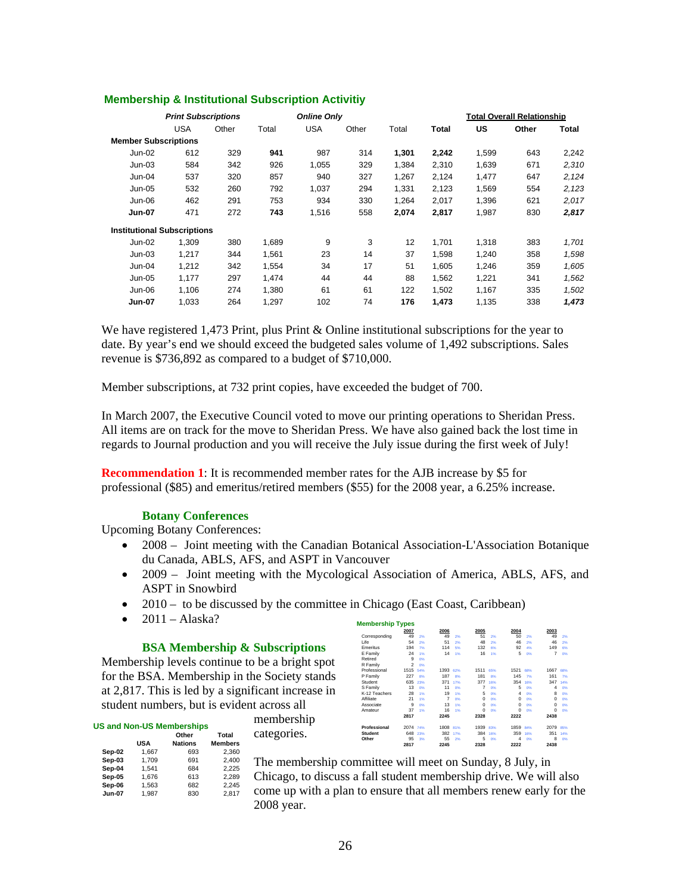|                                    |            | <b>Print Subscriptions</b><br><b>Online Only</b> |       |            |       |       |       | Total Overall Relationship |       |       |
|------------------------------------|------------|--------------------------------------------------|-------|------------|-------|-------|-------|----------------------------|-------|-------|
|                                    | <b>USA</b> | Other                                            | Total | <b>USA</b> | Other | Total | Total | US                         | Other | Total |
| <b>Member Subscriptions</b>        |            |                                                  |       |            |       |       |       |                            |       |       |
| Jun-02                             | 612        | 329                                              | 941   | 987        | 314   | 1.301 | 2,242 | 1,599                      | 643   | 2,242 |
| $Jun-03$                           | 584        | 342                                              | 926   | 1,055      | 329   | 1,384 | 2,310 | 1,639                      | 671   | 2,310 |
| Jun-04                             | 537        | 320                                              | 857   | 940        | 327   | 1,267 | 2,124 | 1,477                      | 647   | 2,124 |
| Jun-05                             | 532        | 260                                              | 792   | 1,037      | 294   | 1,331 | 2,123 | 1,569                      | 554   | 2,123 |
| Jun-06                             | 462        | 291                                              | 753   | 934        | 330   | 1.264 | 2,017 | 1,396                      | 621   | 2,017 |
| <b>Jun-07</b>                      | 471        | 272                                              | 743   | 1,516      | 558   | 2,074 | 2,817 | 1,987                      | 830   | 2,817 |
| <b>Institutional Subscriptions</b> |            |                                                  |       |            |       |       |       |                            |       |       |
| $Jun-02$                           | 1,309      | 380                                              | 1,689 | 9          | 3     | 12    | 1.701 | 1,318                      | 383   | 1,701 |
| $Jun-03$                           | 1,217      | 344                                              | 1,561 | 23         | 14    | 37    | 1,598 | 1,240                      | 358   | 1,598 |
| Jun-04                             | 1.212      | 342                                              | 1,554 | 34         | 17    | 51    | 1.605 | 1,246                      | 359   | 1,605 |
| Jun-05                             | 1,177      | 297                                              | 1.474 | 44         | 44    | 88    | 1,562 | 1,221                      | 341   | 1,562 |
| Jun-06                             | 1,106      | 274                                              | 1.380 | 61         | 61    | 122   | 1,502 | 1,167                      | 335   | 1,502 |
| <b>Jun-07</b>                      | 1,033      | 264                                              | 1,297 | 102        | 74    | 176   | 1,473 | 1,135                      | 338   | 1,473 |

#### **Membership & Institutional Subscription Activitiy**

We have registered 1,473 Print, plus Print & Online institutional subscriptions for the year to date. By year's end we should exceed the budgeted sales volume of 1,492 subscriptions. Sales revenue is \$736,892 as compared to a budget of \$710,000.

Member subscriptions, at 732 print copies, have exceeded the budget of 700.

In March 2007, the Executive Council voted to move our printing operations to Sheridan Press. All items are on track for the move to Sheridan Press. We have also gained back the lost time in regards to Journal production and you will receive the July issue during the first week of July!

**Recommendation 1**: It is recommended member rates for the AJB increase by \$5 for professional (\$85) and emeritus/retired members (\$55) for the 2008 year, a 6.25% increase.

#### **Botany Conferences**

Upcoming Botany Conferences:

- 2008 Joint meeting with the Canadian Botanical Association-L'Association Botanique du Canada, ABLS, AFS, and ASPT in Vancouver
- 2009 Joint meeting with the Mycological Association of America, ABLS, AFS, and ASPT in Snowbird
- 2010 to be discussed by the committee in Chicago (East Coast, Caribbean)

membership categories.

 $\bullet$  2011 – Alaska?

#### **BSA Membership & Subscriptions**

Membership levels continue to be a bright spot for the BSA. Membership in the Society stands at 2,817. This is led by a significant increase in student numbers, but is evident across all

|               |       | Other          | Total          |
|---------------|-------|----------------|----------------|
|               | USA   | <b>Nations</b> | <b>Members</b> |
| Sep-02        | 1.667 | 693            | 2.360          |
| Sep-03        | 1.709 | 691            | 2.400          |
| Sep-04        | 1.541 | 684            | 2.225          |
| Sep-05        | 1.676 | 613            | 2.289          |
| Sep-06        | 1.563 | 682            | 2.245          |
| <b>Jun-07</b> | 1.987 | 830            | 2.817          |

| <b>Membership Types</b> |                |                 |      |                 |          |                 |          |     |          |                 |
|-------------------------|----------------|-----------------|------|-----------------|----------|-----------------|----------|-----|----------|-----------------|
|                         | 2007           |                 | 2006 |                 | 2005     |                 | 2004     |     | 2003     |                 |
| Corresponding           | 49             | 2%              | 49   | 2%              | 51       | 2%              | 50       | 2%  | 49       | 2%              |
| Life                    | 54             | 2%              | 51   | 2%              | 48       | 2%              | 46       | 2%  | 46       | 2%              |
| Emeritus                | 194            | 7%              | 114  | 5%              | 132      | 6%              | 92       | 4%  | 149      | 6%              |
| E Family                | 24             | 1%              | 14   | 1%              | 16       | 1%              | 5        | 0%  | 7        | 0%              |
| Retired                 | 9              | 0%              |      |                 |          |                 |          |     |          |                 |
| R Family                | $\mathfrak{p}$ | O <sub>R6</sub> |      |                 |          |                 |          |     |          |                 |
| Professional            | 1515           | 54%             | 1393 | 62%             | 1511     | 65%             | 1521     | 68% | 1667     | 68%             |
| P Family                | 227            | 8%              | 187  | 8%              | 181      | 8%              | 145      | 7%  | 161      | 7%              |
| Student                 | 635            | 23%             | 371  | 17%             | 377      | 16%             | 354      | 16% | 347      | 14%             |
| S Family                | 13             | 0%              | 11   | O <sub>R6</sub> | 7        | 0%              | 5        | 0%  | 4        | O <sub>26</sub> |
| K-12 Teachers           | 28             | 1%              | 19   | 1%              | 5        | 0%              | 4        | 0%  | R        | 0%              |
| Affiliate               | 21             | 1%              | 7    | O <sub>R6</sub> | $\Omega$ | O <sub>26</sub> | $\Omega$ | 0%  | $\Omega$ | O <sub>26</sub> |
| Associate               | 9              | O <sub>26</sub> | 13   | 1%              | $\Omega$ | O <sub>26</sub> | $\Omega$ | 0%  | $\Omega$ | O <sub>26</sub> |
| Amateur                 | 37             | 1%              | 16   | 1%              | $\Omega$ | O <sub>26</sub> | $\Omega$ | 0%  | $\Omega$ | O <sub>26</sub> |
|                         | 2817           |                 | 2245 |                 | 2328     |                 | 2222     |     | 2438     |                 |
| Professional            | 2074           | 74%             | 1808 | 81%             | 1939     | 83%             | 1859     | 84% | 2079     | 85%             |
| <b>Student</b>          | 648            | 23%             | 382  | 17%             | 384      | 16%             | 359      | 16% | 351      | 14%             |
| Other                   | 95             | 3%              | 55   | 2%              | 5        | 0%              | 4        | 0%  | 8        | 0%              |
|                         | 2817           |                 | 2245 |                 | 2328     |                 | 2222     |     | 2438     |                 |

The membership committee will meet on Sunday, 8 July, in

Chicago, to discuss a fall student membership drive. We will also come up with a plan to ensure that all members renew early for the 2008 year.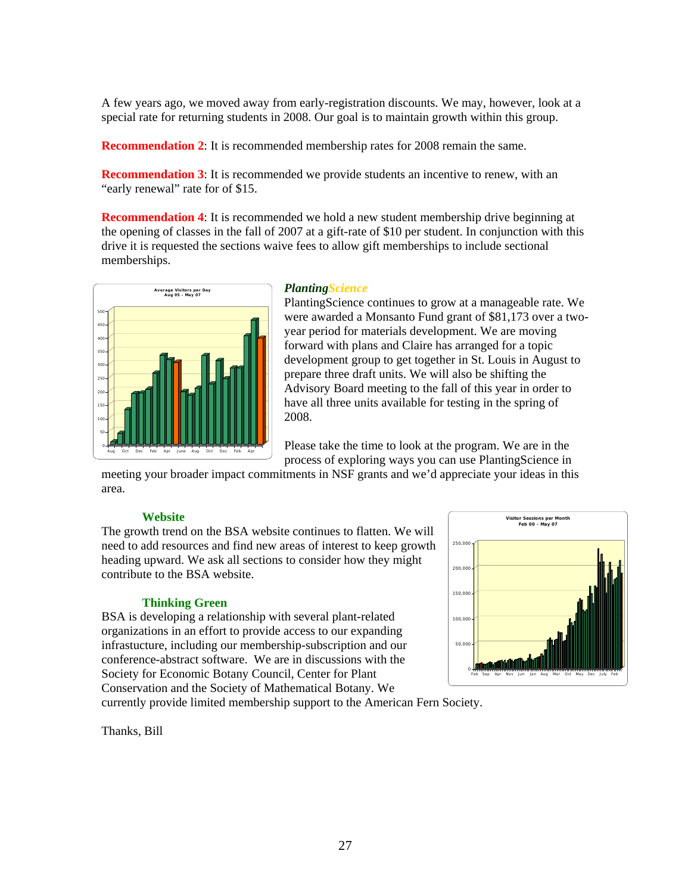A few years ago, we moved away from early-registration discounts. We may, however, look at a special rate for returning students in 2008. Our goal is to maintain growth within this group.

**Recommendation 2:** It is recommended membership rates for 2008 remain the same.

**Recommendation 3:** It is recommended we provide students an incentive to renew, with an "early renewal" rate for of \$15.

**Recommendation 4:** It is recommended we hold a new student membership drive beginning at the opening of classes in the fall of 2007 at a gift-rate of \$10 per student. In conjunction with this drive it is requested the sections waive fees to allow gift memberships to include sectional memberships.



#### *PlantingScience*

PlantingScience continues to grow at a manageable rate. We were awarded a Monsanto Fund grant of \$81,173 over a twoyear period for materials development. We are moving forward with plans and Claire has arranged for a topic development group to get together in St. Louis in August to prepare three draft units. We will also be shifting the Advisory Board meeting to the fall of this year in order to have all three units available for testing in the spring of 2008.

Please take the time to look at the program. We are in the process of exploring ways you can use PlantingScience in

meeting your broader impact commitments in NSF grants and we'd appreciate your ideas in this area.

#### **Website**

need to add resources and find new areas of interest to keep growth heading upward. We ask all sections to consider how they might contribute to the BSA website. The growth trend on the BSA website continues to flatten. We will

#### **Thinking Green**

conference-abstract software. We are in discussions with the BSA is developing a relationship with several plant-related organizations in an effort to provide access to our expanding infrastucture, including our membership-subscription and our Society for Economic Botany Council, Center for Plant Conservation and the Society of Mathematical Botany. We



urrently provide limited membership support to the American Fern Society. c

hanks, Bill T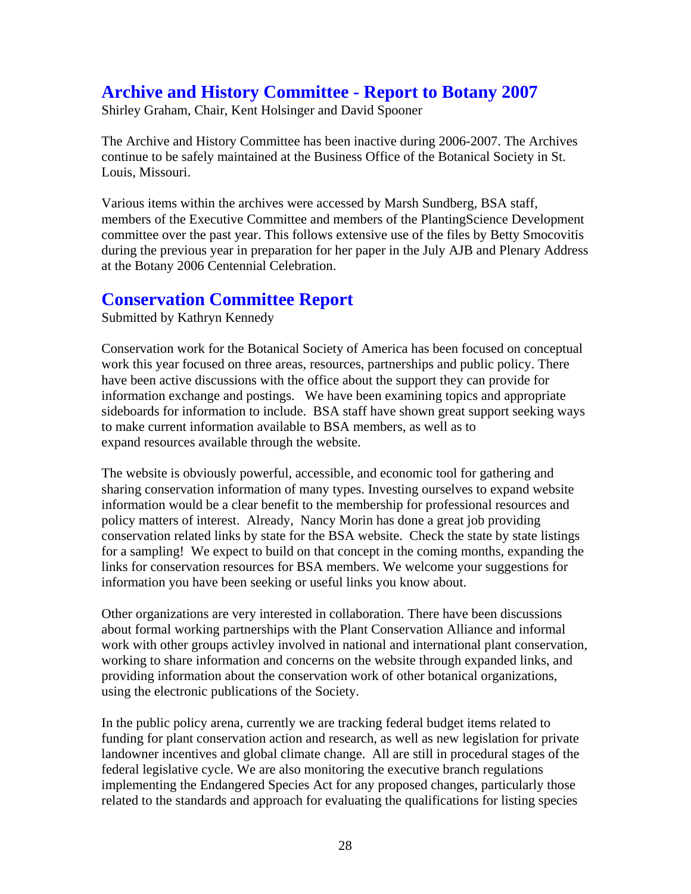## **Archive and History Committee - Report to Botany 2007**

Shirley Graham, Chair, Kent Holsinger and David Spooner

The Archive and History Committee has been inactive during 2006-2007. The Archives continue to be safely maintained at the Business Office of the Botanical Society in St. Louis, Missouri.

during the previous year in preparation for her paper in the July AJB and Plenary Address Various items within the archives were accessed by Marsh Sundberg, BSA staff, members of the Executive Committee and members of the PlantingScience Development committee over the past year. This follows extensive use of the files by Betty Smocovitis at the Botany 2006 Centennial Celebration.

## **Conservation Committee Report**

Submitted by Kathryn Kennedy

Conservation work for the Botanical Society of America has been focused on conceptual sideboards for information to include. BSA staff have shown great support seeking ways to make current information available to BSA members, as well as to work this year focused on three areas, resources, partnerships and public policy. There have been active discussions with the office about the support they can provide for information exchange and postings. We have been examining topics and appropriate expand resources available through the website.

for a sampling! We expect to build on that concept in the coming months, expanding the links for conservation resources for BSA members. We welcome your suggestions for The website is obviously powerful, accessible, and economic tool for gathering and sharing conservation information of many types. Investing ourselves to expand website information would be a clear benefit to the membership for professional resources and policy matters of interest. Already, Nancy Morin has done a great job providing conservation related links by state for the BSA website. Check the state by state listings information you have been seeking or useful links you know about.

work with other groups activley involved in national and international plant conservation, working to share information and concerns on the website through expanded links, and providing information about the conservation work of other botanical organizations, Other organizations are very interested in collaboration. There have been discussions about formal working partnerships with the Plant Conservation Alliance and informal using the electronic publications of the Society.

related to the standards and approach for evaluating the qualifications for listing species In the public policy arena, currently we are tracking federal budget items related to funding for plant conservation action and research, as well as new legislation for private landowner incentives and global climate change. All are still in procedural stages of the federal legislative cycle. We are also monitoring the executive branch regulations implementing the Endangered Species Act for any proposed changes, particularly those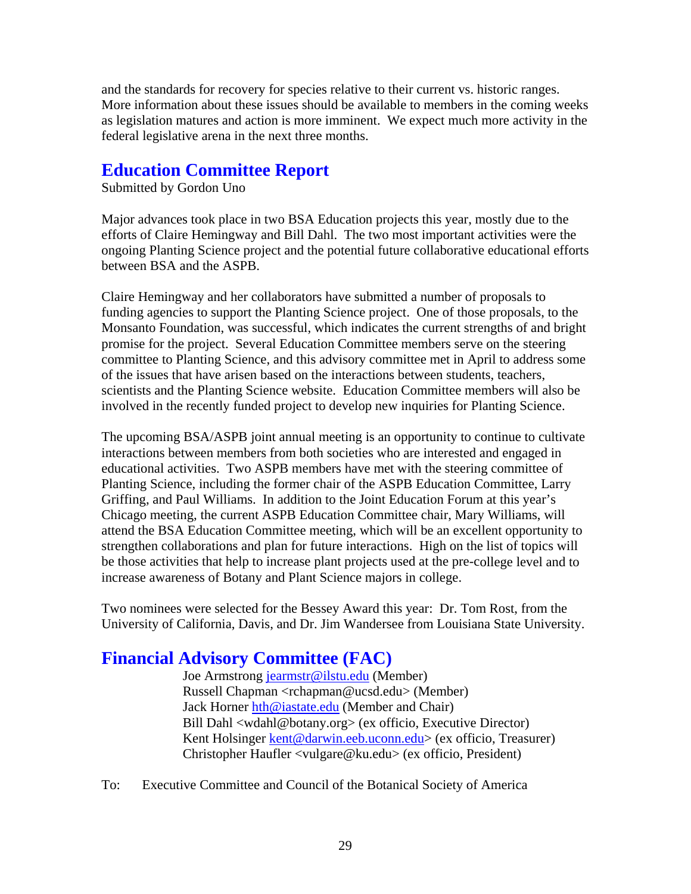and the standards for recovery for species relative to their current vs. historic ranges. More information about these issues should be available to members in the coming weeks as legislation matures and action is more imminent. We expect much more activity in the federal legislative arena in the next three months.

## **Education Committee Report**

Submitted by Gordon Uno

ongoing Planting Science project and the potential future collaborative educational efforts between BSA and the ASPB. Major advances took place in two BSA Education projects this year, mostly due to the efforts of Claire Hemingway and Bill Dahl. The two most important activities were the

Monsanto Foundation, was successful, which indicates the current strengths of and bright committee to Planting Science, and this advisory committee met in April to address some involved in the recently funded project to develop new inquiries for Planting Science. Claire Hemingway and her collaborators have submitted a number of proposals to funding agencies to support the Planting Science project. One of those proposals, to the promise for the project. Several Education Committee members serve on the steering of the issues that have arisen based on the interactions between students, teachers, scientists and the Planting Science website. Education Committee members will also be

The upcoming BSA/ASPB joint annual meeting is an opportunity to continue to cultivate Planting Science, including the former chair of the ASPB Education Committee, Larry be those activities that help to increase plant projects used at the pre-college level and to increase awareness of Botany and Plant Science majors in college. interactions between members from both societies who are interested and engaged in educational activities. Two ASPB members have met with the steering committee of Griffing, and Paul Williams. In addition to the Joint Education Forum at this year's Chicago meeting, the current ASPB Education Committee chair, Mary Williams, will attend the BSA Education Committee meeting, which will be an excellent opportunity to strengthen collaborations and plan for future interactions. High on the list of topics will

University of California, Davis, and Dr. Jim Wandersee from Louisiana State University. Two nominees were selected for the Bessey Award this year: Dr. Tom Rost, from the

## **Financial A dvisory Committee (FAC)**

Joe Armstrong jearmstr@ilstu.edu (Member) Russell Chapman <rchapman@ucsd.edu> (Member) Jack Horner hth@iastate.edu (Member and Chair) Bill Dahl <wdahl@botany.org> (ex officio, Executive Director) Kent Holsinger kent@darwin.eeb.uconn.edu> (ex officio, Treasurer) Christopher Haufler <vulgare@ku.edu> (ex officio, President)

To: Executive Committee and Council of the Botanical Society of America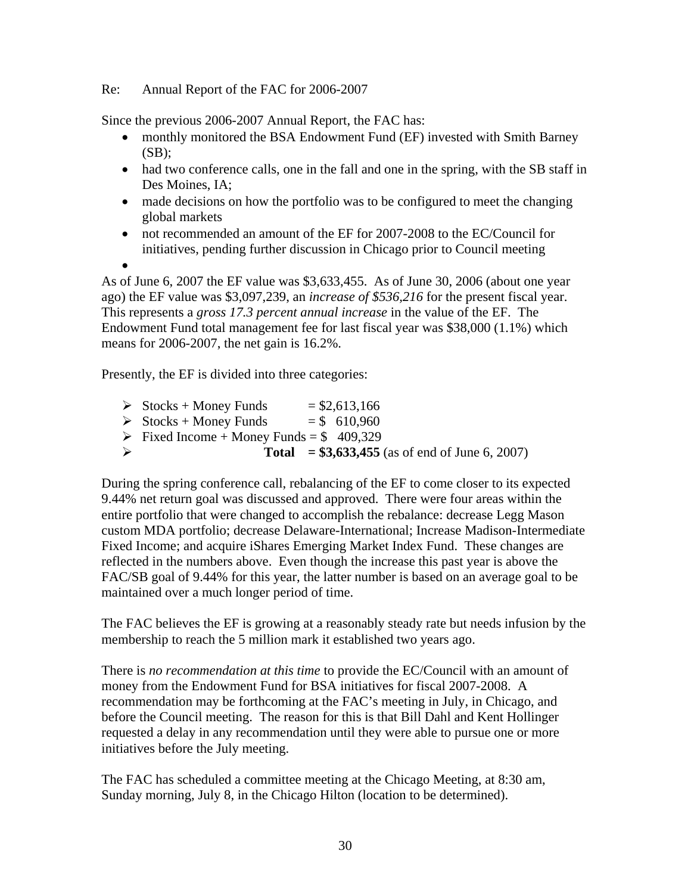### Re: Annual Report of the FAC for 2006-2007

Since the previous 2006-2007 Annual Report, the FAC has:

- monthly monitored the BSA Endowment Fund (EF) invested with Smith Barney  $(SB)$ :
- had two conference calls, one in the fall and one in the spring, with the SB staff in Des Moines, IA;
- made decisions on how the portfolio was to be configured to meet the changing global markets
- initiatives, pending further discussion in Chicago prior to Council meeting • not recommended an amount of the EF for 2007-2008 to the EC/Council for

•

ago) the EF value was \$3,097,239, an *increase of \$536,216* for the present fiscal year. Endowment Fund total management fee for last fiscal year was \$38,000 (1.1%) which means for  $2006-2007$ , the net gain is  $16.2\%$ . As of June 6, 2007 the EF value was \$3,633,455. As of June 30, 2006 (about one year This represents a *gross 17.3 percent annual increase* in the value of the EF. The

Presently, the EF is divided into three categories:

| $\rightarrow$ |                                                         |                 | <b>Total</b> = $$3,633,455$ (as of end of June 6, 2007) |  |
|---------------|---------------------------------------------------------|-----------------|---------------------------------------------------------|--|
|               | $\triangleright$ Fixed Income + Money Funds = \$409,329 |                 |                                                         |  |
|               | $\triangleright$ Stocks + Money Funds                   | $=$ \$ 610,960  |                                                         |  |
|               | $\triangleright$ Stocks + Money Funds                   | $=$ \$2,613,166 |                                                         |  |

custom MDA portfolio; decrease Delaware-International; Increase Madison-Intermediate FAC/SB goal of 9.44% for this year, the latter number is based on an average goal to be maintained over a much longer period of time. During the spring conference call, rebalancing of the EF to come closer to its expected 9.44% net return goal was discussed and approved. There were four areas within the entire portfolio that were changed to accomplish the rebalance: decrease Legg Mason Fixed Income; and acquire iShares Emerging Market Index Fund. These changes are reflected in the numbers above. Even though the increase this past year is above the

The FAC believes the EF is growing at a reasonably steady rate but needs infusion by the membership to reach the 5 million mark it established two years ago.

requested a delay in any recommendation until they were able to pursue one or more initiatives before the July meeting. There is *no recommendation at this time* to provide the EC/Council with an amount of money from the Endowment Fund for BSA initiatives for fiscal 2007-2008. A recommendation may be forthcoming at the FAC's meeting in July, in Chicago, and before the Council meeting. The reason for this is that Bill Dahl and Kent Hollinger

The FAC has scheduled a committee meeting at the Chicago Meeting, at 8:30 am, Sunday morning, July 8, in the Chicago Hilton (location to be determined).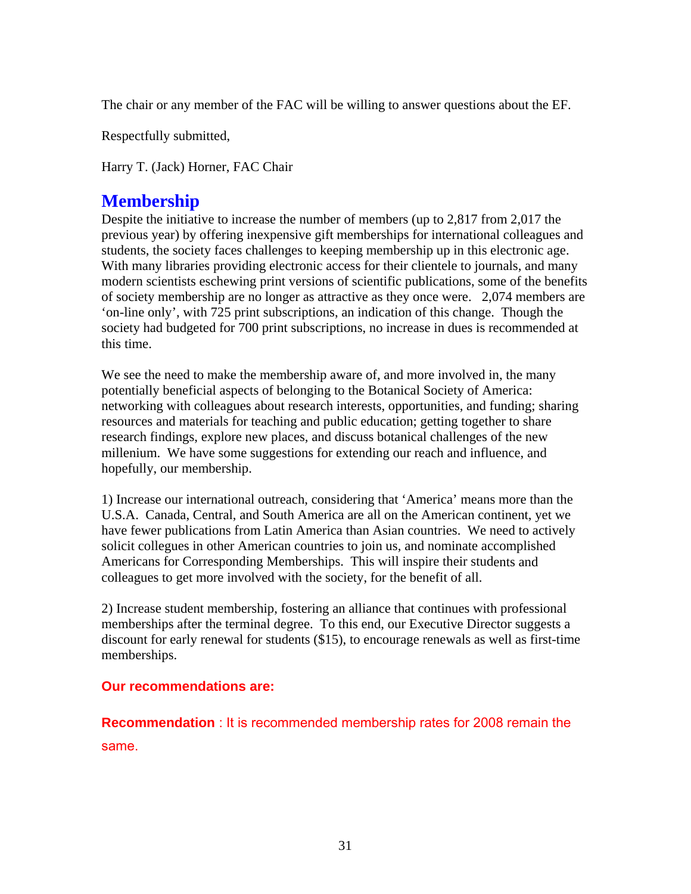The chair or any member of the FAC will be willing to answer questions about the EF.

Respectfully submitted,

Harry T. (Jack) Horner, FAC Chair

## **Membership**

of society membership are no longer as attractive as they once were. 2,074 members are society had budgeted for 700 print subscriptions, no increase in dues is recommended at this time. Despite the initiative to increase the number of members (up to 2,817 from 2,017 the previous year) by offering inexpensive gift memberships for international colleagues and students, the society faces challenges to keeping membership up in this electronic age. With many libraries providing electronic access for their clientele to journals, and many modern scientists eschewing print versions of scientific publications, some of the benefits 'on-line only', with 725 print subscriptions, an indication of this change. Though the

We see the need to make the membership aware of, and more involved in, the many networking with colleagues about research interests, opportunities, and funding; sharing millenium. We have some suggestions for extending our reach and influence, and hopefully, our membership. potentially beneficial aspects of belonging to the Botanical Society of America: resources and materials for teaching and public education; getting together to share research findings, explore new places, and discuss botanical challenges of the new

have fewer publications from Latin America than Asian countries. We need to actively solicit collegues in other American countries to join us, and nominate accomplished Americans for Corresponding Memberships. This will inspire their students and colleagues to get more involved with the society, for the benefit of all. 1) Increase our international outreach, considering that 'America' means more than the U.S.A. Canada, Central, and South America are all on the American continent, yet we

discount for early renewal for students (\$15), to encourage renewals as well as first-time memberships. 2) Increase student membership, fostering an alliance that continues with professional memberships after the terminal degree. To this end, our Executive Director suggests a

### **Our recommendations are:**

**mendation** : It is recommended membership rates for 2008 remain the **Recom** same.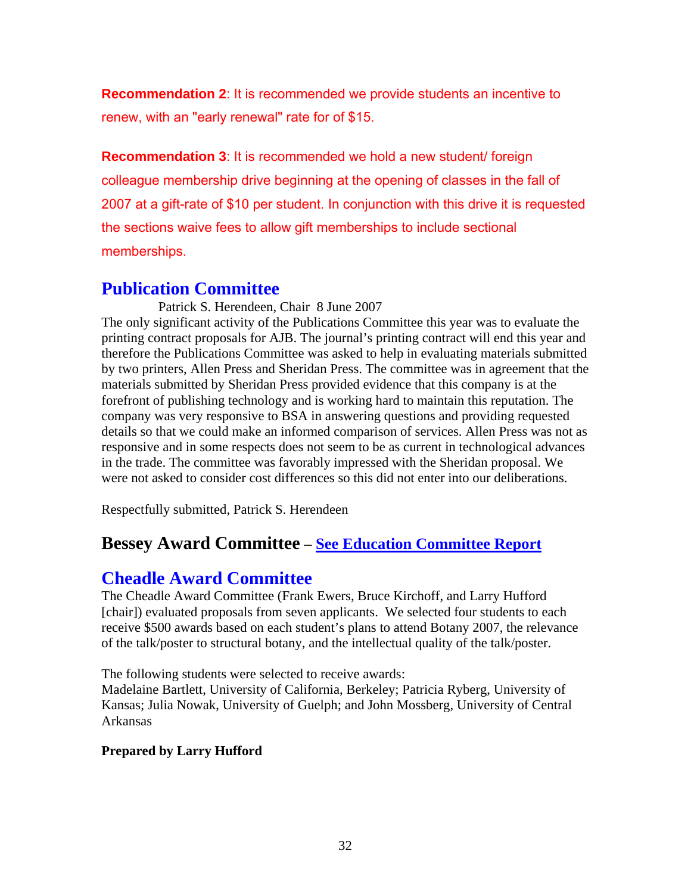**Recommendation 2**: It is recommended we provide students an incentive to renew, with an "early renewal" rate for of \$15.

Recommendation 3: It is recommended we hold a new student/ foreign colleague memb ership drive beginning at the opening of classes in the fall of 2007 at a gift-rate of \$10 per student. In conjunction with this drive it is requested the sections waive fees to allow gift memberships to include sectional memberships.

## **Publication Committee**

The only significant activity of the Publications Committee this year was to evaluate the printing contract proposals for AJB. The journal's printing contract will end this year and therefore the Publications Committee was asked to help in evaluating materials submitted details so that we could make an informed comparison of services. Allen Press was not as responsive and in some respects does not seem to be as current in technological advances in the trade. The committee was favorably impressed with the Sheridan proposal. We were not asked to consider cost differences so this did not enter into our deliberations. Patrick S. Herendeen, Chair 8 June 2007 by two printers, Allen Press and Sheridan Press. The committee was in agreement that the materials submitted by Sheridan Press provided evidence that this company is at the forefront of publishing technology and is working hard to maintain this reputation. The company was very responsive to BSA in answering questions and providing requested

Respectfully submitted, Patrick S. Herendeen

## **Bessey Award Committee – See Education Committee Report**

## **Cheadle Award Committee**

The Cheadle Award Committee (Frank Ewers, Bruce Kirchoff, and Larry Hufford [chair]) evaluated proposals from seven applicants. We selected four students to each receive \$500 awards based on each student's plans to attend Botany 2007, the relevance of the talk/poster to structural botany, and the intellectual quality of the talk/poster.

The following students were selected to receive awards:

Madelaine Bartlett, University of California, Berkeley; Patricia Ryberg, University of Kansas; Julia Nowak, University of Guelph; and John Mossberg, University of Central Arkansas

## **Prepared by Larry Hufford**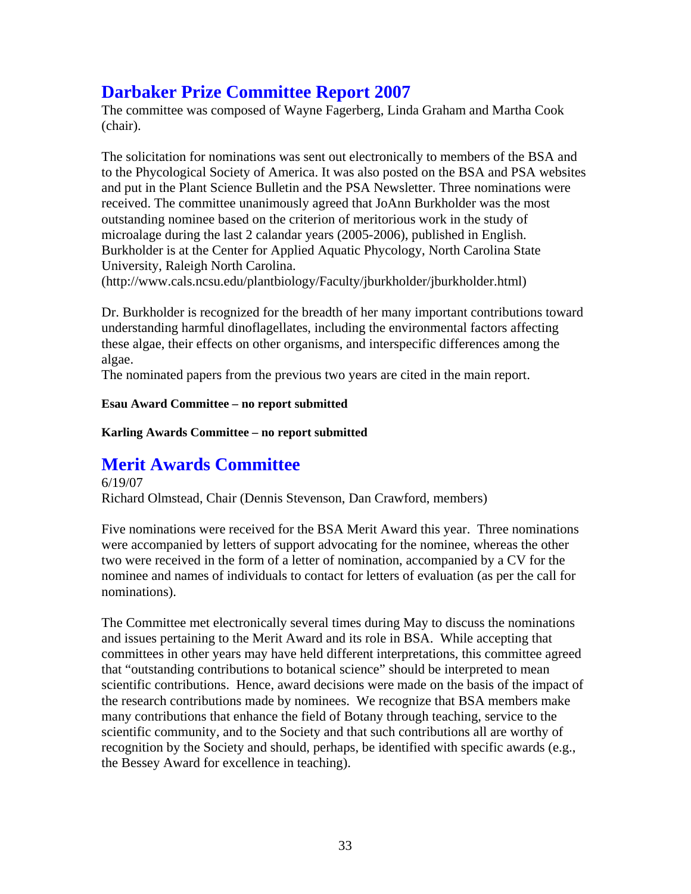## **Darbaker Prize Committee Report 2007**

The committee was composed of Wayne Fagerberg, Linda Graham and Martha Coo k (chair).

The solicitation for nominations was sent out electronically to members of the BSA and to the Phycological Society of America. It was also posted on the BSA and PSA webs ites and put in the Plant Science Bulletin and the PSA Newsletter. Three nomination s were received. The committee unanimously agreed that JoAnn Burkholder was the most outstanding nominee based on the criterion of meritorious work in the study of microalage during the last 2 calandar years (2005-2006), published in English. Burkholder is at the Center for Applied Aquatic Phycology, North Carolina State University, Raleigh North Carolina.

(http://www.cals.ncsu.edu/plantbiology/Faculty/jburkholder/jburkholder.html)

Dr. Burkholder is recognized for the breadth of her many important contributions toward understanding harmful dinoflagellates, including the environmental factors affecting these algae, their effects on other organisms, and interspecific differences among the algae.

The nominated papers from the previous two years are cited in the main report.

### **Esau Award Committee – no report submitted**

**Karling Awards Committee – no report submitted** 

## **Merit Awards Committee**

Richard Olmstead, Chair (Dennis Stevenson, Dan Crawford, members) 6/19/07

Five nominations were received for the BSA Merit Award this year. Three nominations were accompanied by letters of support advocating for the nominee, whereas the other two were received in the form of a letter of nomination, accompanied by a CV for the nominee and names of individuals to contact for letters of evaluation (as per the call for nominations).

The Committee met electronically several times during May to discuss the nominations that "outstanding contributions to botanical science" should be interpreted to mean and issues pertaining to the Merit Award and its role in BSA. While accepting that committees in other years may have held different interpretations, this committee agreed scientific contributions. Hence, award decisions were made on the basis of the impact of the research contributions made by nominees. We recognize that BSA members make many contributions that enhance the field of Botany through teaching, service to the scientific community, and to the Society and that such contributions all are worthy of recognition by the Society and should, perhaps, be identified with specific awards (e.g., the Bessey Award for excellence in teaching).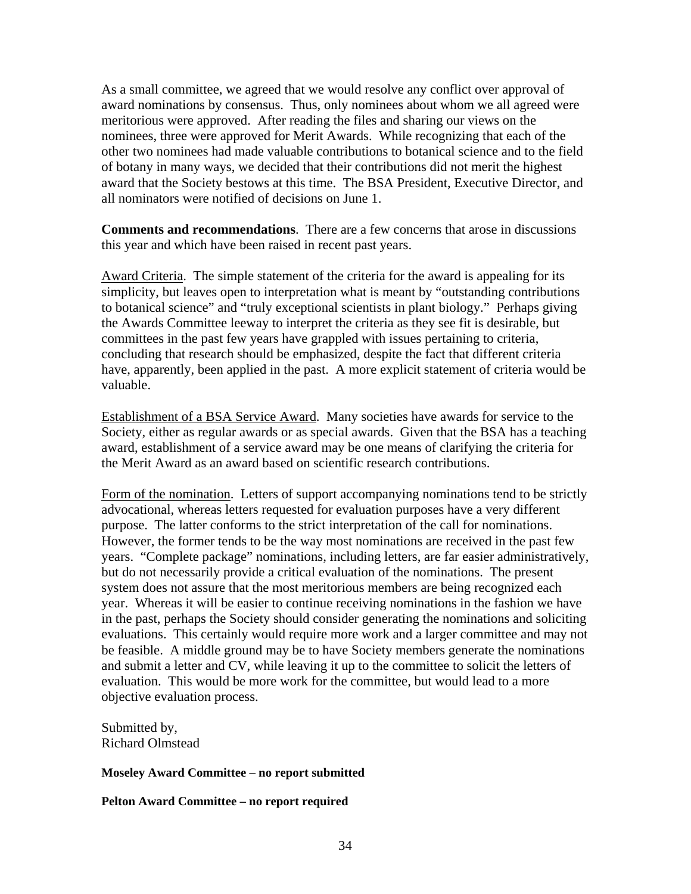As a small committee, we agreed that we would resolve any conflict over approval of meritorious were approved. After reading the files and sharing our views on the nominees, three were approved for Merit Awards. While recognizing that each of the other two nominees had made valuable contributions to botanical science and to the field award nominations by consensus. Thus, only nominees about whom we all agreed were of botany in many ways, we decided that their contributions did not merit the highest award that the Society bestows at this time. The BSA President, Executive Director, and all nominators were notified of decisions on June 1.

Comments and recommendations. There are a few concerns that arose in discussions this year and which have been raised in recent past years.

Award Criteria. The simple statement of the criteria for the award is appealing for its committees in the past few years have grappled with issues pertaining to criteria, oncluding that research should be emphasized, despite the fact that different criteria c simplicity, but leaves open to interpretation what is meant by "outstanding contributions to botanical science" and "truly exceptional scientists in plant biology." Perhaps giving the Awards Committee leeway to interpret the criteria as they see fit is desirable, but have, apparently, been applied in the past. A more explicit statement of criteria would be valuable.

Establishment of a BSA Service Award. Many societies have awards for service to the Society, either as regular awards or as special awards. Given that the BSA has a teaching award, establishment of a service award may be one means of clarifying the criteria f or the Merit Award as an award based on scientific research contributions.

Form of the nomination. Letters of support accompanying nominations tend to be strictly advocational, whereas letters requested for evaluation purposes have a very different purpose. The latter conforms to the strict interpretation of the call for nominations. However, the former tends to be the way most nominations are received in the past few years. "Complete package" nominations, including letters, are far easier administratively, but do not necessarily provide a critical evaluation of the nominations. The present system does not assure that the most meritorious members are being recognized each year. Whereas it will be easier to continue receiving nominations in the fashion we have in the past, perhaps the Society should consider generating the nominations and soliciting evaluations. This certainly would require more work and a larger committee and may not be feasible. A middle ground may be to have Society members generate the nominations and submit a letter and CV, while leaving it up to the committee to solicit the letters of evaluation. This would be more work for the committee, but would lead to a more objective evaluation process.

Submitted by, Richard Olmstead

#### **Moseley Award Committee – no report submitted**

**Pelton Award Committee – no report required**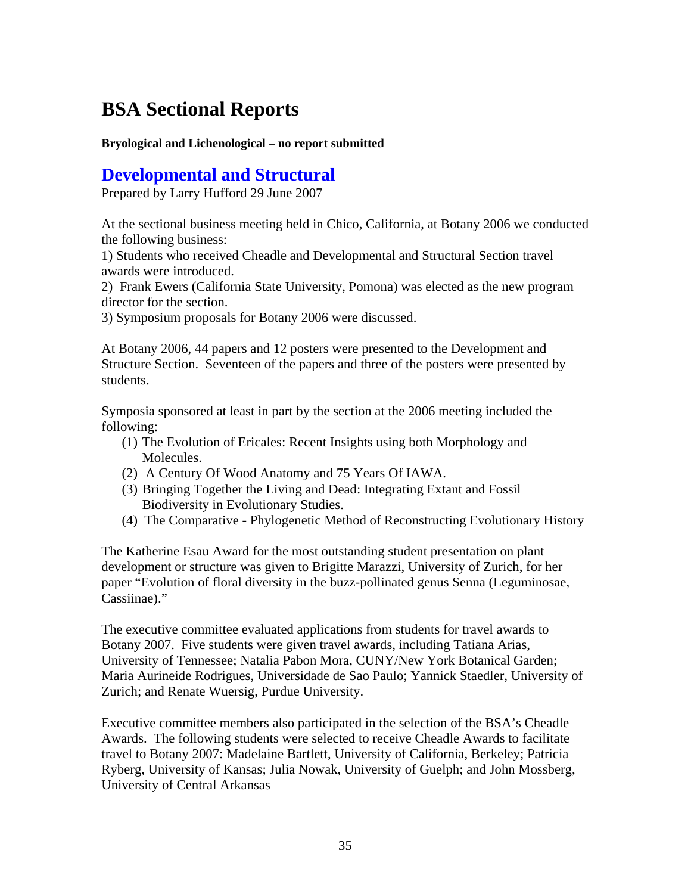# **BSA Sectional Reports**

**Bryological and Lichenological – no report submitted** 

## **Developmental and Structural**

Prepared by Larry Hufford 29 June 2007

At the sectional business meeting held in Chico, California, at Botany 2006 we con ducted the following business:

1) Students who received Cheadle and Developmental and Structural Section travel wards w ere introduced. a

2) Frank Ewers (California State University, Pomona) was elected as the new program director for the section.

3) Symposium proposals for Botany 2006 were discussed.

At Botany 2006, 44 papers and 12 posters were presented to the Development and Structure Section. Seventeen of the papers and three of the posters were presented by students.

Symposia sponsored at least in part by the section at the 2006 meeting included the following:

- (1) The Evolution of Ericales: Recent Insights using both Morphology and Molecules.
- (2) A Century Of Wood Anatomy and 75 Years Of IAWA.
- (3) Bringing Together the Living and Dead: Integrating Extant and Fossil Biodiversity in Evolutionary Studies.
- (4) The Comparative Phylogenetic Method of Reconstructing Evolutionary History

paper "Evolution of floral diversity in the buzz-pollinated genus Senna (Leguminosae, The Katherine Esau Award for the most outstanding student presentation on plant development or structure was given to Brigitte Marazzi, University of Zurich, for her Cassiinae)."

Maria Aurineide Rodrigues, Universidade de Sao Paulo; Yannick Staedler, University of The executive committee evaluated applications from students for travel awards to Botany 2007. Five students were given travel awards, including Tatiana Arias, University of Tennessee; Natalia Pabon Mora, CUNY/New York Botanical Garden; Zurich; and Renate Wuersig, Purdue University.

Executive committee members also participated in the selection of the BSA's Cheadle Awards. The following students were selected to receive Cheadle Awards to facilitate travel to Botany 2007: Madelaine Bartlett, University of California, Berkeley; Patricia Ryberg, University of Kansas; Julia Nowak, University of Guelph; and John Mossberg, University of Central Arkansas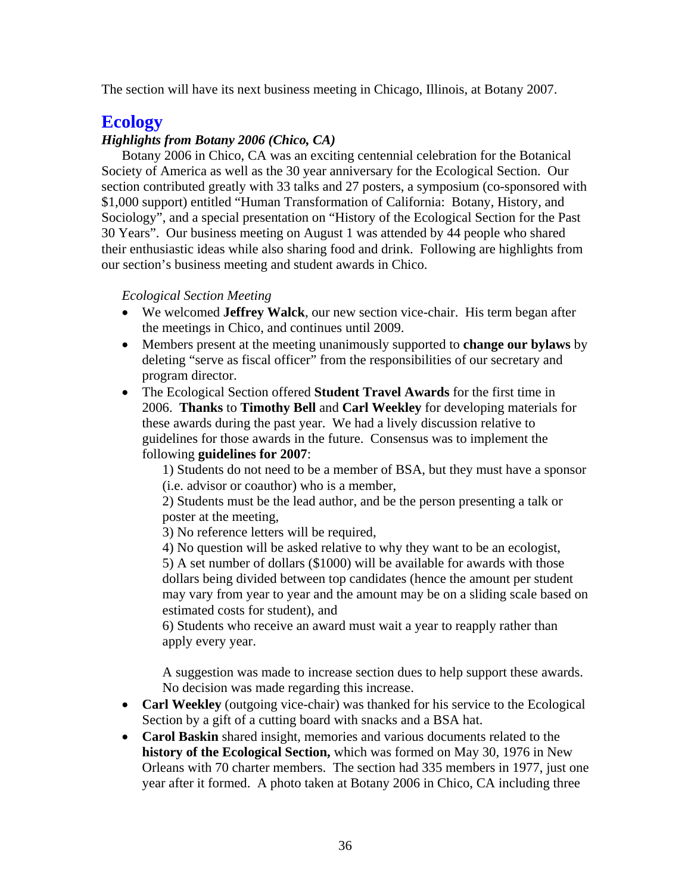The section will have its next business meeting in Chicago, Illinois, at Botany 2007.

## **Ecology**

### *Highlights from Botany 2006 (Chico, CA)*

Botany 2006 in Chico, CA was an exciting centennial celebration for the Botanical Society of America as well as the 30 year anniversary for the Ecological Section. Our section contributed greatly with 33 talks and 27 posters, a symposium (co-sponsored with Sociology", and a special presentation on "History of the Ecological Section for the Past their enthusiastic ideas while also sharing food and drink. Following are highlights from our section's business meeting and student awards in Chico. \$1,000 support) entitled "Human Transformation of California: Botany, History, and 30 Years". Our business meeting on August 1 was attended by 44 people who shared

*Ecological Section Meeting* 

- We welcomed Jeffrey Walck, our new section vice-chair. His term began after the meetings in Chico, and continues until 2009.
- Members present at the meeting unanimously supported to **change our bylaws** by dele ting "serve as fiscal officer" from the responsibilities of our secretary and pro gram director.
- The Ecological Section offered **Student Travel Awards** for the first time in 2006. Thanks to Timothy Bell and Carl Weekley for developing materials for these awards during the past year. We had a lively discussion relative to gui delines for those awards in the future. Consensus was to implement the foll owing **guidelines for 2007**:

1) Students do not need to be a member of BSA, but they must have a sponsor (i.e. advisor or coauthor) who is a member,

2) Students must be the lead author, and be the person presenting a talk or poster at the meeting,

3) No reference letters will be required,

dollars being divided between top candidates (hence the amount per student 4) No question will be asked relative to why they want to be an ecologist, 5) A set number of dollars (\$1000) will be available for awards with those may vary from year to year and the amount may be on a sliding scale based on estimated costs for student), and

6) Students who receive an award must wait a year to reapply rather than apply every year.

A suggestion was made to increase section dues to help support these awards. No decision was made regarding this increase.

- Carl Weekley (outgoing vice-chair) was thanked for his service to the Ecological Section by a gift of a cutting board with snacks and a BSA hat.
- Orleans with 70 charter members. The section had 335 members in 1977, just one year after it formed. A photo taken at Botany 2006 in Chico, CA including three • **Carol Baskin** shared insight, memories and various documents related to the **history of the Ecological Section,** which was formed on May 30, 1976 in New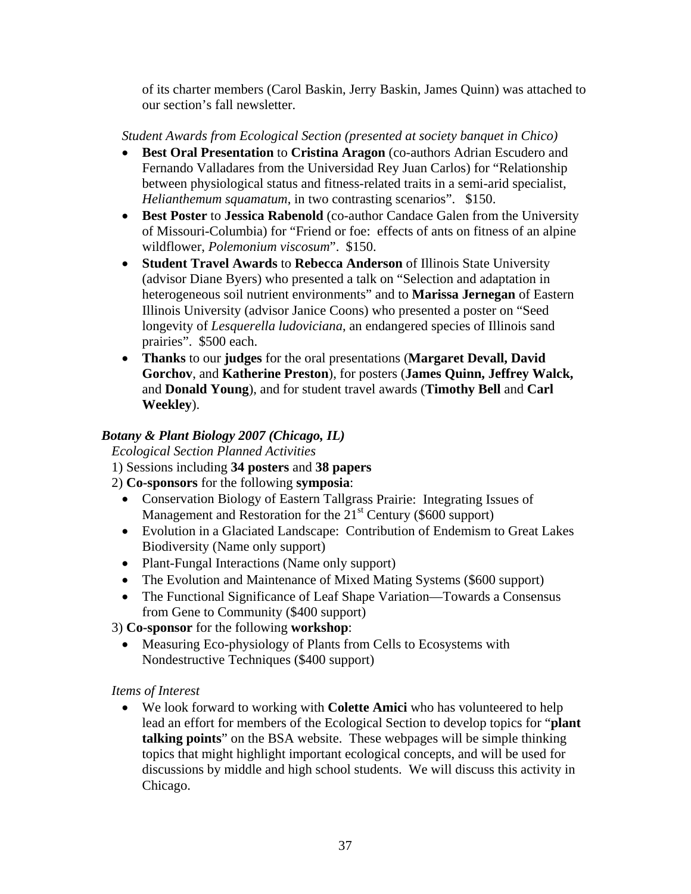of its charter members (Carol Baskin, Jerry Baskin, James Quinn) was attached to our section's fall newsletter.

### *Student Awards from Ecological Section (presented at society banquet in Chico)*

- Best Oral Presentation to Cristina Aragon (co-authors Adrian Escudero and between physiological status and fitness-related traits in a semi-arid specialist, Fernando Valladares from the Universidad Rey Juan Carlos) for "Relationship *Helianthemum squamatum*, in two contrasting scenarios". \$150.
- Best Poster to Jessica Rabenold (co-author Candace Galen from the University of Missouri-Columbia) for "Friend or foe: effects of ants on fitness of an alpine wildflower, *Polemonium viscosum*". \$150.
- (advisor Diane Byers) who presented a talk on "Selection and adaptation in heterogeneous soil nutrient environments" and to **Marissa Jernegan** of Eastern Illinois University (advisor Janice Coons) who presented a poster on "Seed longevity of *Lesquerella ludoviciana*, an endangered species of Illinois sand • **Student Travel Awards** to **Rebecca Anderson** of Illinois State University prairies". \$500 each.
- Thanks to our judges for the oral presentations (Margaret Devall, David Gorchov, and Katherine Preston), for posters (James Quinn, Jeffrey Walck, and **Donald Young**), and for student travel awards (Timothy Bell and Carl **Weekley**).

### *Botany & Plant Biology 2007 (Chicago, IL)*

 *Ecological Section Planned Activities* 

- 1) Sessions including **34 posters** and **38 papers**
- 2) **Co-sponsors** for the following **symposia**:
	- Conservation Biology of Eastern Tallgrass Prairie: Integrating Issues of Management and Restoration for the  $21<sup>st</sup>$  Century (\$600 support)
	- Evolution in a Glaciated Landscape: Contribution of Endemism to Great Lakes Biodiversity (Name only support)
	- Plant-Fungal Interactions (Name only support)
	- The Evolution and Maintenance of Mixed Mating Systems (\$600 support)
	- The Functional Significance of Leaf Shape Variation—Towards a Consensus from Gene to Community (\$400 support)

3) **Co-sponsor** for the following **workshop**:

Nondestructive Techniques (\$400 support) • Measuring Eco-physiology of Plants from Cells to Ecosystems with

### *Items of Interest*

discussions by middle and high school students. We will discuss this activity in • We look forward to working with **Colette Amici** who has volunteered to help lead an effort for members of the Ecological Section to develop topics for "**plant talking points**" on the BSA website. These webpages will be simple thinking topics that might highlight important ecological concepts, and will be used for Chicago.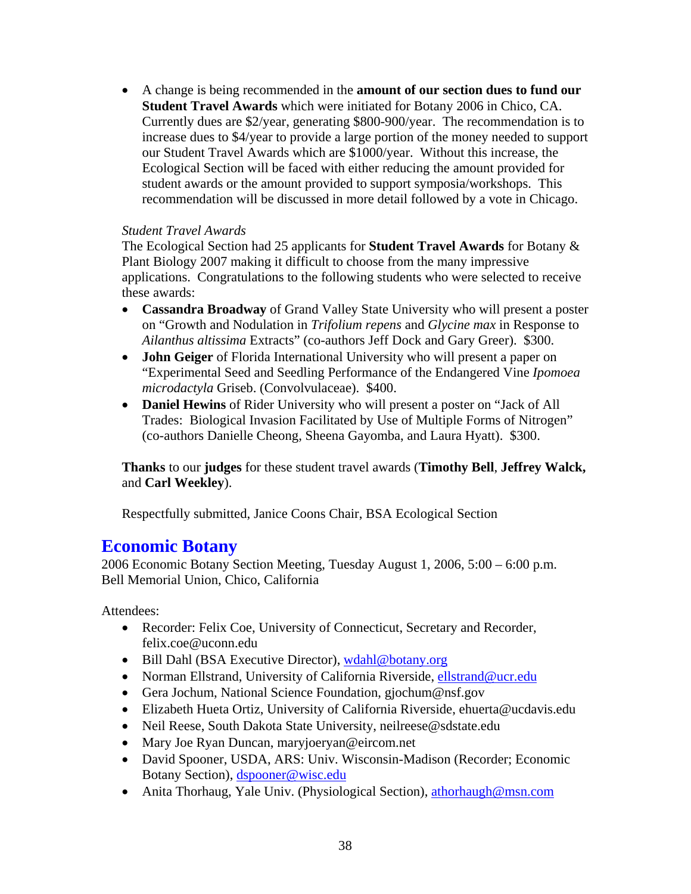• A change is being recommended in the **amount of our section dues to fund our** Currently dues are \$2/year, generating \$800-900/year. The recommendation is to our Student Travel Awards which are \$1000/year. Without this increase, the recommendation will be discussed in more detail followed by a vote in Chicago. **Student Travel Awards** which were initiated for Botany 2006 in Chico, CA. increase dues to \$4/year to provide a large portion of the money needed to support Ecological Section will be faced with either reducing the amount provided for student awards or the amount provided to support symposia/workshops. This

### *Student Travel Awards*

The Ecological Section had 25 applicants for **Student Travel Awards** for Botany & Plant Biology 2007 making it difficult to choose from the many impressive applications. Congratulations to the following students who were selected to receive these awards:

- **Cassandra Broadway** of Grand Valley State University who will present a poster Ailanthus altissima Extracts" (co-authors Jeff Dock and Gary Greer). \$300. on "Growth and Nodulation in *Trifolium repens* and *Glycine max* in Response to
- **John Geiger** of Florida International University who will present a paper on "Experimental Seed and Seedling Performance of the Endangered Vine Ipomoea *microdactyla* Griseb. (Convolvulaceae). \$400.
- Daniel Hewins of Rider University who will present a poster on "Jack of All Trades: Biological Invasion Facilitated by Use of Multiple Forms of Nitrogen" (co-authors Danielle Cheong, Sheena Gayomba, and Laura Hyatt). \$300.

Thanks to our judges for these student travel awards (Timothy Bell, Jeffrey Walck, and **Carl Weekley**).

Respectfully submitted, Janice Coons Chair, BSA Ecological Section

## **Economic Botany**

2006 Economic Botany Section Meeting, Tuesday August 1, 2006, 5:00 – 6:00 p.m. Bell Memorial Union, Chico, California

Attendees:

- Recorder: Felix Coe, University of Connecticut, Secretary and Recorder, felix.coe@uconn.edu
- Bill Dahl (BSA Executive Director), wdahl@botany.org
- Norman Ellstrand, University of California Riverside, ellstrand@ucr.edu
- Gera Jochum, National Science Foundation, gjochum@nsf.gov
- Elizabeth Hueta Ortiz, University of California Riverside, ehuerta@ucdavis.edu
- Neil Reese, South Dakota State University, neilreese@sdstate.edu
- Mary Joe Ryan Duncan, maryjoeryan@eircom.net
- Botany Section), *dspooner@wisc.edu* • David Spooner, USDA, ARS: Univ. Wisconsin-Madison (Recorder; Economic
- Anita Thorhaug, Yale Univ. (Physiological Section), athorhaugh@msn.com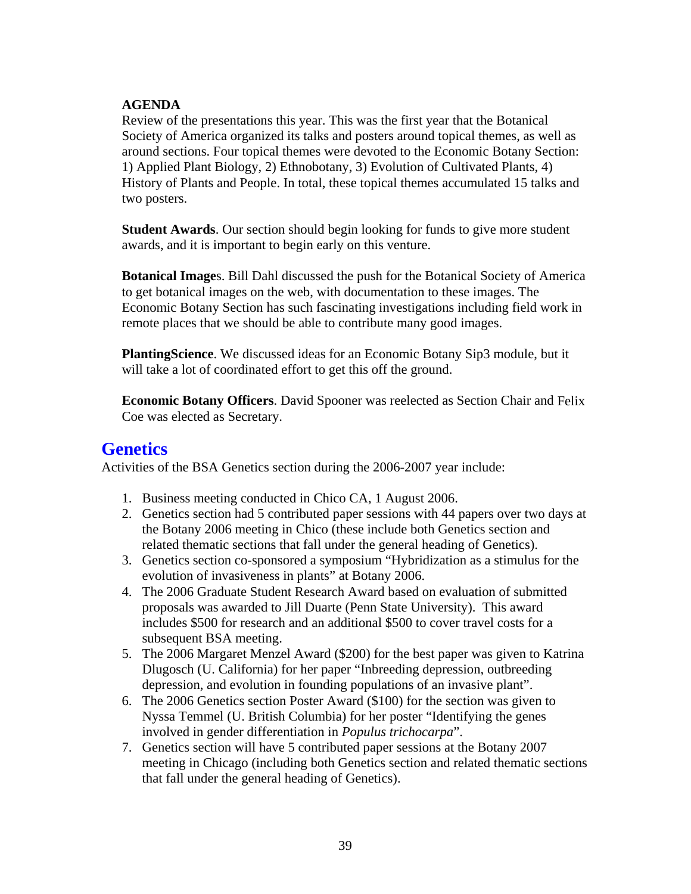### **AGENDA**

Review of the presentations this year. This was the first year that the Botanical around sections. Four topical themes were devoted to the Economic Botany Section: History of Plants and People. In total, these topical themes accumulated 15 talks and two posters. Society of America organized its talks and posters around topical themes, as well as 1) Applied Plant Biology, 2) Ethnobotany, 3) Evolution of Cultivated Plants, 4)

**Student Awards**. Our section should begin looking for funds to give more student awards, and it is important to begin early on this venture.

Botanical Images. Bill Dahl discussed the push for the Botanical Society of America to get botanical images on the web, with documentation to these images. The Economic Botany Section has such fascinating investigations including field work in remote places that we should be able to contribute many good images.

PlantingScience. We discussed ideas for an Economic Botany Sip3 module, but it will take a lot of coordinated effort to get this off the ground.

**Economic Botany Officers**. David Spooner was reelected as Section Chair and Felix Coe was elected as Secretary.

## **Genetics**

Activities of the BSA Genetics section during the 2006-2007 year include:

- 1. Business meeting conducted in Chico CA, 1 August 2006.
- 2. Genetics section had 5 contributed paper sessions with 44 papers over two days at the Botany 2006 meeting in Chico (these include both Genetics section and related thematic sections that fall under the general heading of Genetics).
- 3. Genetics section co-sponsored a symposium "Hybridization as a stimulus for the evolution of invasiveness in plants" at Botany 2006.
- 4. The 2006 Graduate Student Research Award based on evaluation of submitted proposals was awarded to Jill Duarte (Penn State University). This award includes \$500 for research and an additional \$500 to cover travel costs for a subsequent BSA meeting.
- Dlugosch (U. California) for her paper "Inbreeding depression, outbreeding depress ion, and evolution in founding populations of an invasive plant". 5. The 2006 Margaret Menzel Award (\$200) for the best paper was given to Katrina
- 6. The 20 06 Genetics section Poster Award (\$100) for the section was given to Nyssa Temmel (U. British Columbia) for her poster "Identifying the genes involve d in gender differentiation in *Populus trichocarpa*".
- 7. Genetics section will have 5 contributed paper sessions at the Botany 2007 meeting in Chicago (including both Genetics section and related thematic sections that fal l under the general heading of Genetics).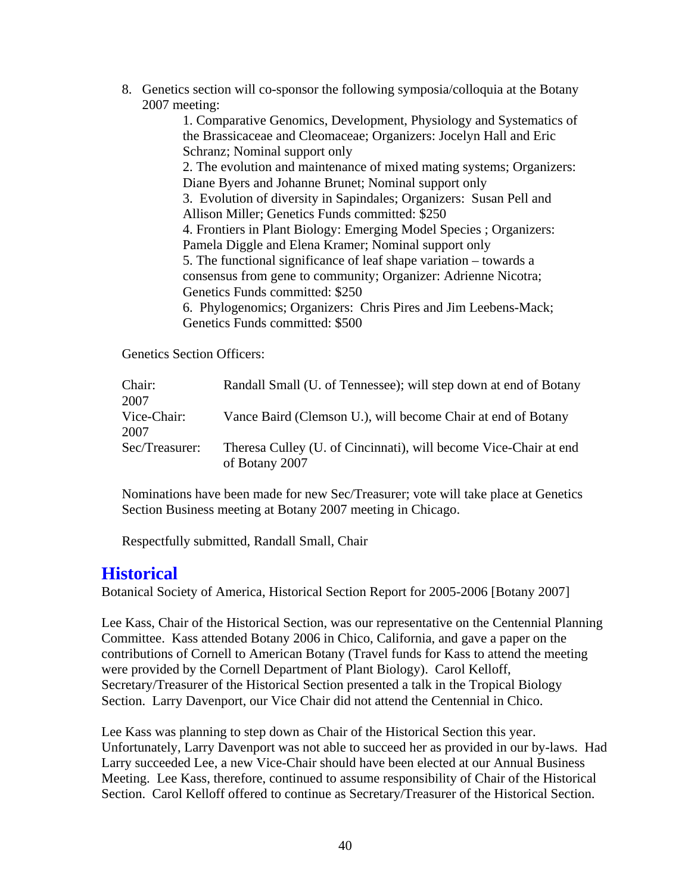8. Genetics section will co-sponsor the following symposia/colloquia at the Botany 2007 m eeting:

1. Comparative Genomics, Development, Physiology and Systematics of the Brassicaceae and Cleomaceae; Organizers: Jocelyn Hall and Eric Schranz; Nominal support only

2. The evolution and maintenance of mixed mating systems; Organizers: Diane Byers and Johanne Brunet; Nominal support only

3. Evolution of diversity in Sapindales; Organizers: Susan Pell and Allison Miller; Genetics Funds committed: \$250

Pamela Diggle and Elena Kramer; Nominal support only 4. Frontiers in Plant Biology: Emerging Model Species ; Organizers:

consensus from gene to community; Organizer: Adrienne Nicotra; 5. The functional significance of leaf shape variation – towards a Genetics Funds committed: \$250

6. Phylogenomics; Organizers: Chris Pires and Jim Leebens-Mack; Genetics Funds committed: \$500

Genetics Section Officers:

| Chair:<br>2007         | Randall Small (U. of Tennessee); will step down at end of Botany |
|------------------------|------------------------------------------------------------------|
| Vice-Chair:            | Vance Baird (Clemson U.), will become Chair at end of Botany     |
| 2007<br>Sec/Treasurer: | Theresa Culley (U. of Cincinnati), will become Vice-Chair at end |
|                        | of Botany 2007                                                   |

Nominations have been made for new Sec/Treasurer; vote will take place at Genetics Section Business meeting at Botany 2007 meeting in Chicago.

Respectfully submitted, Randall Small, Chair

## **Historical**

Botanical Society of America, Historical Section Report for 2005-2006 [Botany 2007]

were provided by the Cornell Department of Plant Biology). Carol Kelloff, Secretary/Treasurer of the Historical Section presented a talk in the Tropical Biology Lee Kass, Chair of the Historical Section, was our representative on the Centennial Planning Committee. Kass attended Botany 2006 in Chico, California, and gave a paper on the contributions of Cornell to American Botany (Travel funds for Kass to attend the meeting Section. Larry Davenport, our Vice Chair did not attend the Centennial in Chico.

Unfortunately, Larry Davenport was not able to succeed her as provided in our by-laws. Had Meeting. Lee Kass, therefore, continued to assume responsibility of Chair of the Historical Section. Carol Kelloff offered to continue as Secretary/Treasurer of the Historical Section. Lee Kass was planning to step down as Chair of the Historical Section this year. Larry succeeded Lee, a new Vice-Chair should have been elected at our Annual Business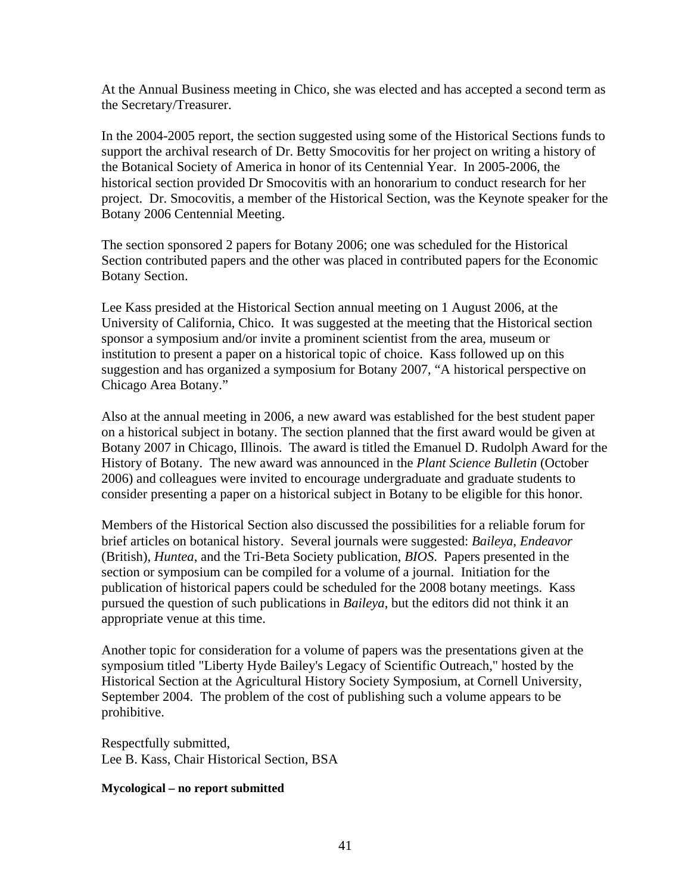At the Annual Business meeting in Chico, she was elected and has accepted a second te rm as the Secretary/Treasurer.

In the 2004-2005 report, the section suggested using some of the Historical Sections funds to historical section provided Dr Smocovitis with an honorarium to conduct research for her project. Dr. Smocovitis, a member of the Historical Section, was the Keynote speaker for the support the archival research of Dr. Betty Smocovitis for her project on writing a history of the Botanical Society of America in honor of its Centennial Year. In 2005-2006, the Botany 2006 Centennial Meeting.

The section sponsored 2 papers for Botany 2006; one was scheduled for the Historical Section contributed papers and the other was placed in contributed papers for the Economic Botany Section.

University of California, Chico. It was suggested at the meeting that the Historical section institution to present a paper on a historical topic of choice. Kass followed up on this Lee Kass presided at the Historical Section annual meeting on 1 August 2006, at the sponsor a symposium and/or invite a prominent scientist from the area, museum or suggestion and has organized a symposium for Botany 2007, "A historical perspective on Chicago Area Botany."

Also at the annual meeting in 2006, a new award was established for the best student paper on a historical subject in botany. The section planned that the first award would be given at Botany 2007 in Chicago, Illinois. The award is titled the Emanuel D. Rudolph Award for the History of Botany. The new award was announced in the *Plant Science Bulletin* (October 2006) and colleagues were invited to encourage undergraduate and graduate students to consider presenting a paper on a historical subject in Botany to be eligible for this honor.

*r* brief articles on botanical history. Several journals were suggested: *Baileya*, *Endeavo* (British), *Huntea*, and the Tri-Beta Society publication, *BIOS*. Papers presented in the section or symposium can be compiled for a volume of a journal. Initiation for the publication of historical papers could be scheduled for the 2008 botany meetings. Kass pursued the question of such publications in *Baileya*, but the editors did not think it an appropriate venue at this time. Members of the Historical Section also discussed the possibilities for a reliable forum for

Another topic for consideration for a volume of papers was the presentations given at the symposium titled "Liberty Hyde Bailey's Legacy of Scientific Outreach," hosted by the Historical Section at the Agricultural History Society Symposium, at Cornell University, September 2004. The problem of the cost of publishing such a volume appears to be prohibitive.

Respectfully submitted, Lee B. Kass, Chair Historical Section, BSA

### **ycological – no report submitted M**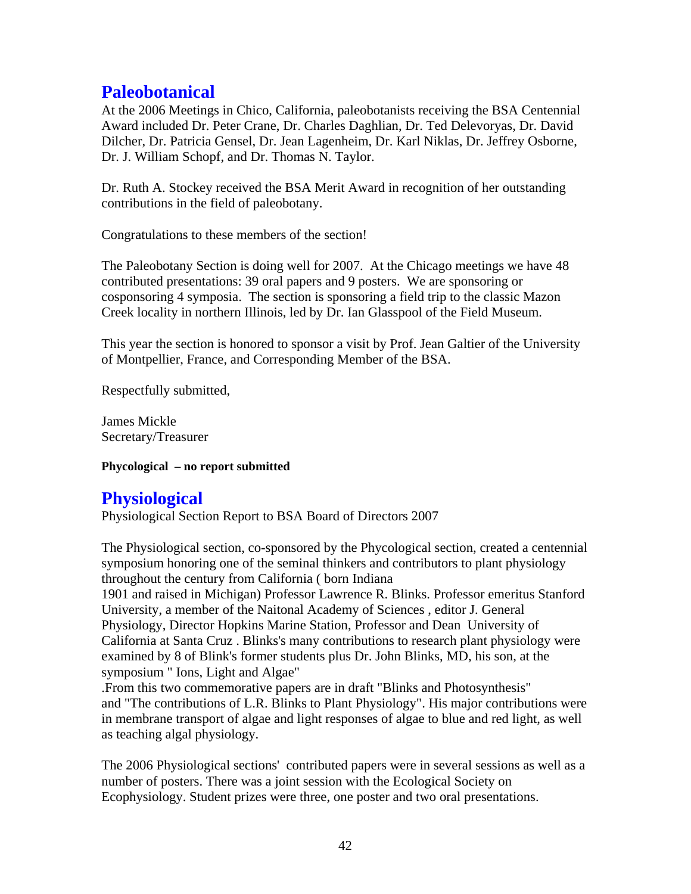## **Paleobotanical**

At the 2006 Meetings in Chico, California, paleobotanists receiving the BSA Centennial Award included Dr. Peter Crane, Dr. Charles Daghlian, Dr. Ted Delevoryas, Dr. David Dilcher, Dr. Patricia Gensel, Dr. Jean Lagenheim, Dr. Karl Niklas, Dr. Jeffrey Osborn e, Dr. J. William Schopf, and Dr. Thomas N. Taylor.

Dr. Ruth A. Stockey received the BSA Merit Award in recognition of her outstanding contributions in the field of paleobotany.

Congratulations to these members of the section!

The Paleobotany Section is doing well for 2007. At the Chicago meetings we have 48 contributed presentations: 39 oral papers and 9 posters. We are sponsoring or cosponsoring 4 symposia. The section is sponsoring a field trip to the classic Mazon Creek locality in northern Illinois, led by Dr. Ian Glasspool of the Field Museum.

This year the section is honored to sponsor a visit by Prof. Jean Galtier of the University . of Montpellier, France, and Corresponding Member of the BSA

Respectfully submitted,

James Mickle Secretary/Treasurer

**Phycological – no report submitted** 

## **Physiological**

Physiological Section Report to BSA Board of Directors 2007

The Physiological section, co-sponsored by the Phycological section, created a centennial symposium honoring one of the seminal thinkers and contributors to plant physiology throughout the century from California ( born Indiana

1901 and raised in Michigan) Professor Lawrence R. Blinks. Professor emeritus Stanford California at Santa Cruz . Blinks's many contributions to research plant physiology were University, a member of the Naitonal Academy of Sciences , editor J. General Physiology, Director Hopkins Marine Station, Professor and Dean University of examined by 8 of Blink's former students plus Dr. John Blinks, MD, his son, at the symposium " Ions, Light and Algae"

and "The contributions of L.R. Blinks to Plant Physiology". His major contributions were .From this two commemorative papers are in draft "Blinks and Photosynthesis" in membrane transport of algae and light responses of algae to blue and red light, as well as teaching algal physiology.

The 2006 Physiological sections' contributed papers were in several sessions as well as a number of posters. There was a joint session with the Ecological Society on Ecophysiology. Student prizes were three, one poster and two oral presentations.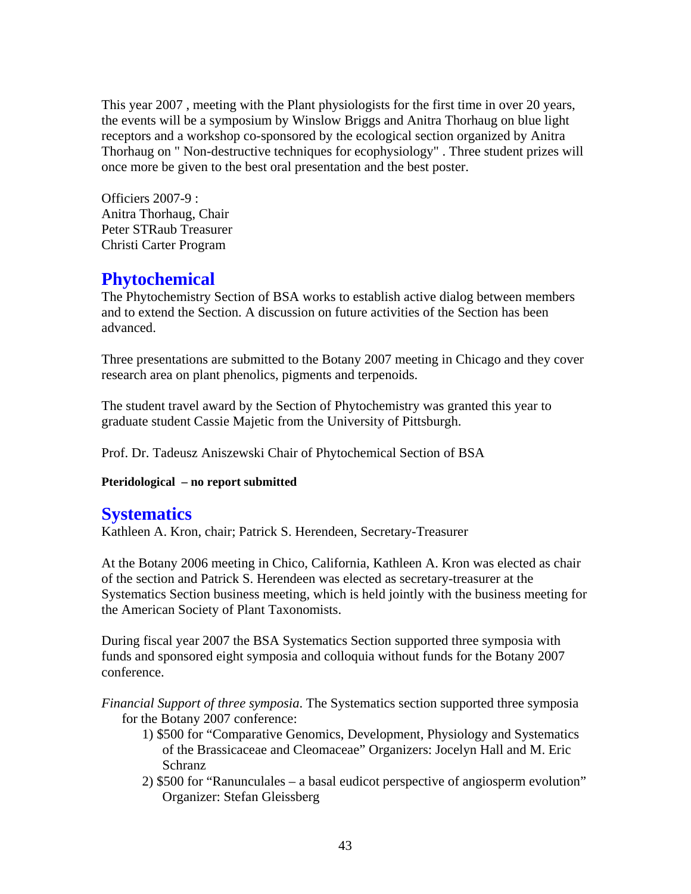This year 2007 , meeting with the Plant physiologists for the first time in over 20 years, the events will be a symposium by Winslow Briggs and Anitra Thorhaug on blue light receptors and a workshop co-sponsored by the ecological section organized by Anitra Thorhaug on " Non-destructive techniques for ecophysiology" . Three student prizes will once more be given to the best oral presentation and the best poster.

Officiers 2007-9 : Anitra Thorhaug, Chair Peter STRaub Treasurer Christi Carter Program

## **Phytochemical**

The Phytochemistry Section of BSA works to establish active dialog between members and to extend the Section. A discussion on future activities of the Section has been dvanced. a

Three presentations are submitted to the Botany 2007 meeting in Chicago and they cover research area on plant phenolics, pigments and terpenoids.

The student travel award by the Section of Phytochemistry was granted this year to graduate student Cassie Majetic from the University of Pittsburgh.

Prof. Dr. Tadeusz Aniszewski Chair of Phytochemical Section of BSA

**Pteridological – no report submitted** 

## **Systematics**

Kathleen A. Kron, chair; Patrick S. Herendeen, Secretary-Treasurer

of the section and Patrick S. Herendeen was elected as secretary-treasurer at the System atics Section business meeting, which is held jointly with the business meeting for the Americ an Society of Plant Taxonomists. At the Botany 2006 meeting in Chico, California, Kathleen A. Kron was elected as chair

During fiscal year 2007 the BSA Systematics Section supported three symposia with funds and s ponsored eight symposia and colloquia without funds for the Botany 2007 confere nce.

*Financial Support of three symposia*. The Systematics section supported three symposia for the Botany 2007 conference:

- 1) \$500 for "Comparative Genomics, Development, Physiology and Systematics Schranz of the Brassicaceae and Cleomaceae" Organizers: Jocelyn Hall and M. Eric
- 2) \$500 for "Ranunculales a basal eudicot perspective of angiosperm evolution" Organizer: Stefan Gleissberg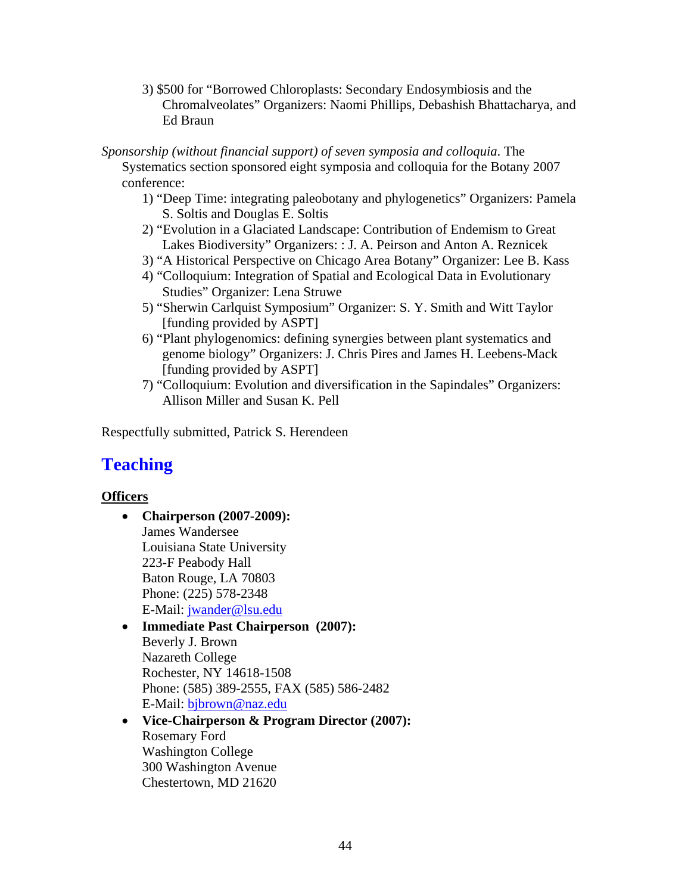- 3) \$500 for "Borrowed Chloroplasts: Secondary Endosymbiosis and the Chromalveolates" Organizers: Naomi Phillips, Debashish Bhattacharya, and Ed Braun
- Sponsorship (without financial support) of seven symposia and colloquia. The Sys tematics section sponsored eight symposia and colloquia for the Botany 2007 confere nce:
	- 1) "Deep Time: integrating paleobotany and phylogenetics" Organizers: Pamela S. Soltis and Douglas E. Soltis
	- 2) "Evolution in a Glaciated Landscape: Contribution of Endemism to Great Lakes Biodiversity" Organizers: : J. A. Peirson and Anton A. Reznicek
	- 3) " A Historical Perspective on Chicago Area Botany" Organizer: Lee B. Kass
	- ) "Colloquium: Integration of Spatial and Ecological Data in Evolutionary 4 Studies" Organizer: Lena Struwe
	- 5) "Sherwin Carlquist Symposium" Organizer: S. Y. Smith and Witt Taylor [funding provided by ASPT]
	- 6) "Plant phylogenomics: defining synergies between plant systematics and genome biology" Organizers: J. Chris Pires and James H. Leebens-Mack [funding provided by ASPT]
	- 7) "Colloquium: Evolution and diversification in the Sapindales" Organizers: Allison Miller and Susan K. Pell

Respectfully submitted, Patrick S. Herendeen

## **Teach ing**

### **<u>Officers</u>**

- **Chairperson** (2007-2009): James Wandersee Louisiana State University 223-F Peabody Hall Phone: (225) 578-2348 E-Mail: [jwander@lsu](mailto:rford2@washcoll.edu).edu Baton Rouge, LA 70803
- **•** [Immediate Past Chairpe](mailto:rford2@washcoll.edu)rson (2007): Phone: (585) 389-2555, FAX (585) 586-2482 E-Mail: <mark>bjbrown@naz.edu</mark> [Beverly J. Brown](mailto:rford2@washcoll.edu)  [Nazareth College](mailto:rford2@washcoll.edu)  [Rochester, NY 14618-1508](mailto:rford2@washcoll.edu)
- **Director (2007): [Vice-Chairperson & Program](mailto:Donna.Hazelwood@dsu.edu)**  [300 Washington](mailto:Donna.Hazelwood@dsu.edu) Avenue [Chestertown, MD 216](mailto:Donna.Hazelwood@dsu.edu)20 [Rosemary Ford](mailto:Donna.Hazelwood@dsu.edu)  [Washington College](mailto:Donna.Hazelwood@dsu.edu)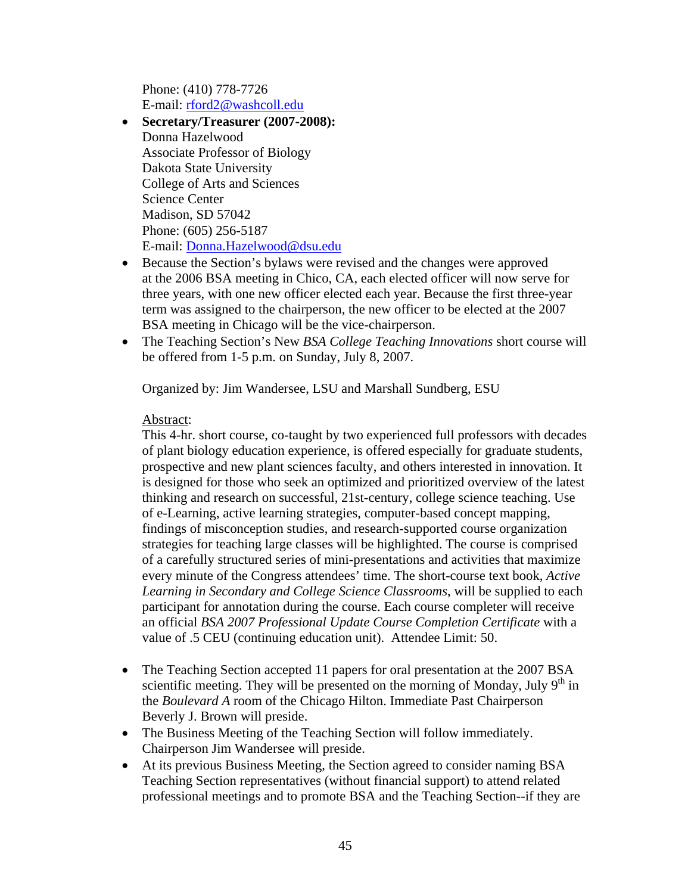[Phone: \(410\) 778-7726](mailto:Donna.Hazelwood@dsu.edu)  [E-mail: rford2@washcoll.edu](mailto:Donna.Hazelwood@dsu.edu) 

- **Secretary/Treasurer (2007-2008):** Donna Hazelwood Associate Professor of Biology Dakota State University College of Arts and Sciences Science Center Madison, SD 57042 Phone: (605) 256-5187 E-mail: Donna.Hazelwood@dsu.edu
- Because the Section's bylaws were revised and the changes were approved at the 2006 BSA meeting in Chico, CA, each elected officer will now serve for three years, with one new officer elected each year. Because the first three-year term was assigned to the chairperson, the new officer to be elected at the 2007 BSA meeting in Chicago will be the vice-chairperson.
- The Teaching Section's New *BSA College Teaching Innovations* short course will be offered from 1-5 p.m. on Sunday, July 8, 2007.

Organized by: Jim Wandersee, LSU and Marshall Sundberg, ESU

### Abstract:

This 4-hr. short course, co-taught by two experienced full professors with decades of plant biology education experience, is offered especially for graduate students, prospective and new plant sciences faculty, and others interested in innovation. It is designed for those who seek an optimized and prioritized overview of the latest thinking and research on successful, 21st-century, college science teaching. Use of e-Learning, active learning strategies, computer-based concept mapping, of a carefully structured series of mini-presentations and activities that maximize every minute of the Congress attendees' time. The short-course text book, *Active* Learning in Secondary and College Science Classrooms, will be supplied to each participant for annotation during the course. Each course completer will receive findings of misconception studies, and research-supported course organization strategies for teaching large classes will be highlighted. The course is comprised an official *BSA 2007 Professional Update Course Completion Certificate* with a value of .5 CEU (continuing education unit). Attendee Limit: 50.

- Beverly J. Brown will preside. • The Teaching Section accepted 11 papers for oral presentation at the 2007 BSA scientific meeting. They will be presented on the morning of Monday, July  $9<sup>th</sup>$  in the *Boulevard A* room of the Chicago Hilton. Immediate Past Chairperson
- The Business Meeting of the Teaching Section will follow immediately. Chairperson Jim Wandersee will preside.
- At its previous Business Meeting, the Section agreed to consider naming BSA Teaching Section representatives (without financial support) to attend related professional meetings and to promote BSA and the Teaching Section--if they are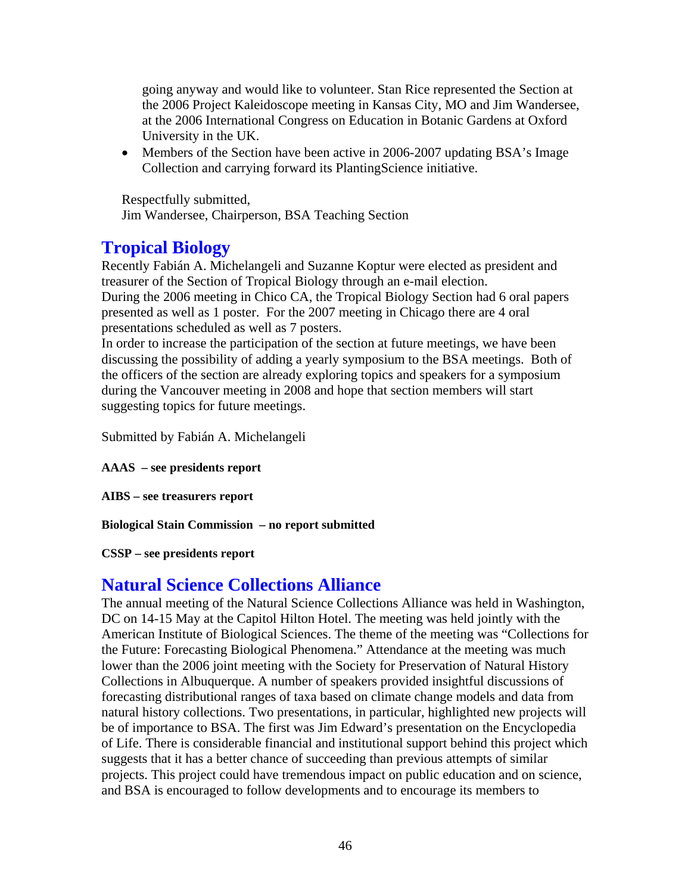going anyway and would like to volunteer. Stan Rice represented the Section at the 2006 Project Kaleidoscope meeting in Kansas City, MO and Jim Wandersee, at the 2006 International Congress on Education in Botanic Gardens at Oxford University in the UK.

• Members of the Section have been active in 2006-2007 updating BSA's Image Collection and carrying forward its PlantingScience initiative.

Respectfully submitted, Jim Wandersee, Chairperson, BSA Teaching Section

## **Tropical Biology**

Recently Fabián A. Michelangeli and Suzanne Koptur were elected as president and treasurer of the Section of Tropical Biology through an e-mail election. During the 2006 meeting in Chico CA, the Tropical Biology Section had 6 oral papers presented as well as 1 poster. For the 2007 meeting in Chicago there are 4 oral presentations scheduled as well as 7 posters.

In order to increase the participation of the section at future meetings, we have been discussing the possibility of adding a yearly symposium to the BSA meetings. Both of the officers of the section are already exploring topics and speakers for a symposium during the Vancouver meeting in 2008 and hope that section members will start suggesting topics for future meetings.

Submitted by Fabián A. Michelangeli

**AAAS – see presidents report** 

**AIBS – see treasurers report** 

**Biological Stain Commission – no report submitted** 

**CSSP – see presidents report** 

## **Natural Science Collections Alliance**

DC on 14-15 May at the Capitol Hilton Hotel. The meeting was held jointly with the the Future: Forecasting Biological Phenomena." Attendance at the meeting was much forecasting distributional ranges of taxa based on climate change models and data from of Life. There is considerable financial and institutional support behind this project which suggests that it has a better chance of succeeding than previous attempts of similar projects. This project could have tremendous impact on public education and on science, and BSA is encouraged to follow developments and to encourage its members to The annual meeting of the Natural Science Collections Alliance was held in Washington, American Institute of Biological Sciences. The theme of the meeting was "Collections for lower than the 2006 joint meeting with the Society for Preservation of Natural History Collections in Albuquerque. A number of speakers provided insightful discussions of natural history collections. Two presentations, in particular, highlighted new projects will be of importance to BSA. The first was Jim Edward's presentation on the Encyclopedia